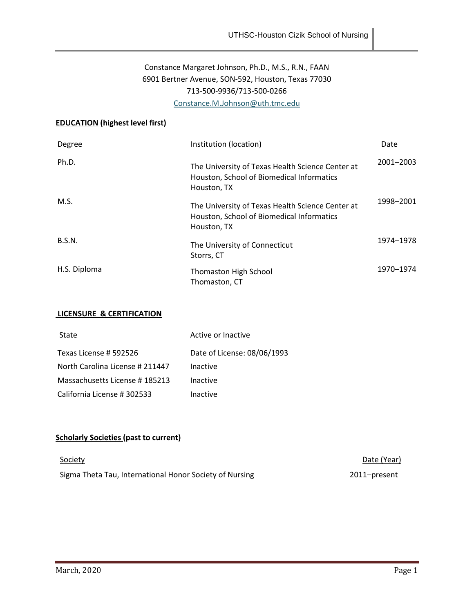# Constance Margaret Johnson, Ph.D., M.S., R.N., FAAN 6901 Bertner Avenue, SON-592, Houston, Texas 77030 713-500-9936/713-500-0266 [Constance.M.Johnson@uth.tmc.edu](mailto:Constance.M.Johnson@uth.tmc.edu)

## **EDUCATION (highest level first)**

| Degree        | Institution (location)                                                                                       | Date      |
|---------------|--------------------------------------------------------------------------------------------------------------|-----------|
| Ph.D.         | The University of Texas Health Science Center at<br>Houston, School of Biomedical Informatics<br>Houston, TX | 2001-2003 |
| M.S.          | The University of Texas Health Science Center at<br>Houston, School of Biomedical Informatics<br>Houston, TX | 1998-2001 |
| <b>B.S.N.</b> | The University of Connecticut<br>Storrs, CT                                                                  | 1974-1978 |
| H.S. Diploma  | <b>Thomaston High School</b><br>Thomaston, CT                                                                | 1970–1974 |

#### **LICENSURE & CERTIFICATION**

| State                           | Active or Inactive          |
|---------------------------------|-----------------------------|
| Texas License # 592526          | Date of License: 08/06/1993 |
| North Carolina License # 211447 | Inactive                    |
| Massachusetts License #185213   | Inactive                    |
| California License # 302533     | Inactive                    |

# **Scholarly Societies (past to current)**

| Society                                                 | Date (Year)  |
|---------------------------------------------------------|--------------|
| Sigma Theta Tau, International Honor Society of Nursing | 2011–present |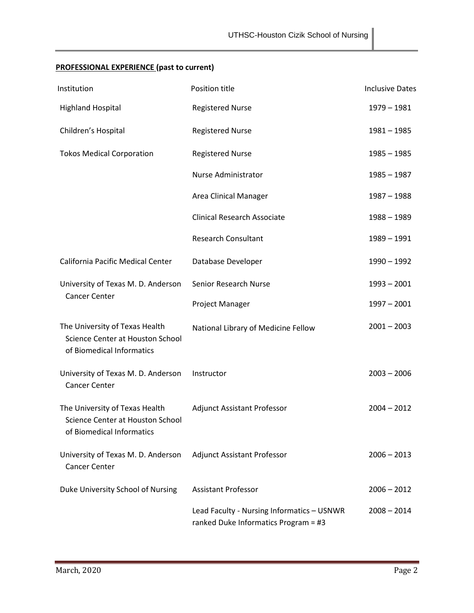| Institution                                                                                     | Position title                                                                     | <b>Inclusive Dates</b> |
|-------------------------------------------------------------------------------------------------|------------------------------------------------------------------------------------|------------------------|
| <b>Highland Hospital</b>                                                                        | <b>Registered Nurse</b>                                                            | $1979 - 1981$          |
| Children's Hospital                                                                             | <b>Registered Nurse</b>                                                            | $1981 - 1985$          |
| <b>Tokos Medical Corporation</b>                                                                | <b>Registered Nurse</b>                                                            | $1985 - 1985$          |
|                                                                                                 | Nurse Administrator                                                                | $1985 - 1987$          |
|                                                                                                 | Area Clinical Manager                                                              | $1987 - 1988$          |
|                                                                                                 | <b>Clinical Research Associate</b>                                                 | $1988 - 1989$          |
|                                                                                                 | <b>Research Consultant</b>                                                         | $1989 - 1991$          |
| California Pacific Medical Center                                                               | Database Developer                                                                 | $1990 - 1992$          |
| University of Texas M. D. Anderson                                                              | Senior Research Nurse                                                              | $1993 - 2001$          |
| <b>Cancer Center</b>                                                                            | Project Manager                                                                    | $1997 - 2001$          |
| The University of Texas Health<br>Science Center at Houston School<br>of Biomedical Informatics | National Library of Medicine Fellow                                                | $2001 - 2003$          |
| University of Texas M. D. Anderson<br><b>Cancer Center</b>                                      | Instructor                                                                         | $2003 - 2006$          |
| The University of Texas Health<br>Science Center at Houston School<br>of Biomedical Informatics | <b>Adjunct Assistant Professor</b>                                                 | $2004 - 2012$          |
| University of Texas M. D. Anderson<br><b>Cancer Center</b>                                      | <b>Adjunct Assistant Professor</b>                                                 | $2006 - 2013$          |
| Duke University School of Nursing                                                               | <b>Assistant Professor</b>                                                         | $2006 - 2012$          |
|                                                                                                 | Lead Faculty - Nursing Informatics - USNWR<br>ranked Duke Informatics Program = #3 | $2008 - 2014$          |

# **PROFESSIONAL EXPERIENCE (past to current)**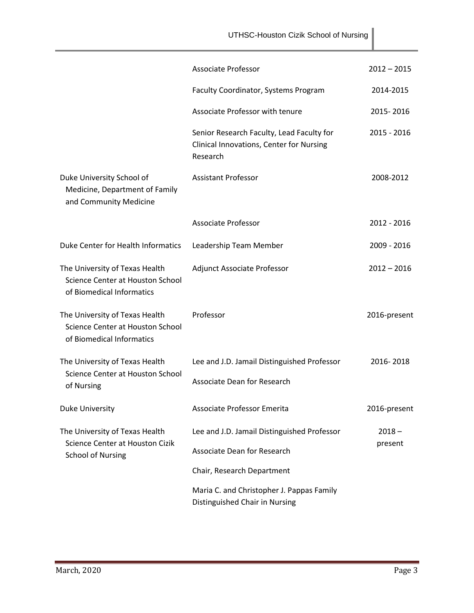|                                                                                                 | UTHSC-Houston Cizik School of Nursing                                                             |               |
|-------------------------------------------------------------------------------------------------|---------------------------------------------------------------------------------------------------|---------------|
|                                                                                                 | Associate Professor                                                                               | $2012 - 2015$ |
|                                                                                                 | Faculty Coordinator, Systems Program                                                              | 2014-2015     |
|                                                                                                 | Associate Professor with tenure                                                                   | 2015-2016     |
|                                                                                                 | Senior Research Faculty, Lead Faculty for<br>Clinical Innovations, Center for Nursing<br>Research | 2015 - 2016   |
| Duke University School of<br>Medicine, Department of Family<br>and Community Medicine           | <b>Assistant Professor</b>                                                                        | 2008-2012     |
|                                                                                                 | <b>Associate Professor</b>                                                                        | 2012 - 2016   |
| Duke Center for Health Informatics                                                              | Leadership Team Member                                                                            | 2009 - 2016   |
| The University of Texas Health<br>Science Center at Houston School<br>of Biomedical Informatics | Adjunct Associate Professor                                                                       | $2012 - 2016$ |
| The University of Texas Health<br>Science Center at Houston School<br>of Biomedical Informatics | Professor                                                                                         | 2016-present  |
| The University of Texas Health                                                                  | Lee and J.D. Jamail Distinguished Professor                                                       | 2016-2018     |
| Science Center at Houston School<br>of Nursing                                                  | <b>Associate Dean for Research</b>                                                                |               |
| Duke University                                                                                 | Associate Professor Emerita                                                                       | 2016-present  |
| The University of Texas Health                                                                  | Lee and J.D. Jamail Distinguished Professor                                                       | $2018 -$      |
| Science Center at Houston Cizik<br><b>School of Nursing</b>                                     | Associate Dean for Research                                                                       | present       |
|                                                                                                 | Chair, Research Department                                                                        |               |
|                                                                                                 | Maria C. and Christopher J. Pappas Family<br>Distinguished Chair in Nursing                       |               |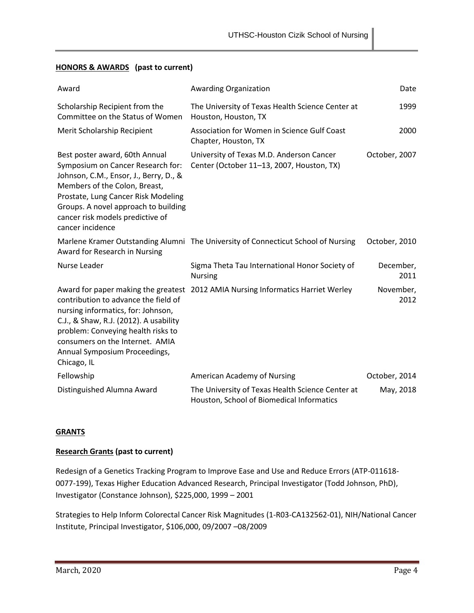## **HONORS & AWARDS (past to current)**

| Award                                                                                                                                                                                                                                                                                 | <b>Awarding Organization</b>                                                                  | Date              |
|---------------------------------------------------------------------------------------------------------------------------------------------------------------------------------------------------------------------------------------------------------------------------------------|-----------------------------------------------------------------------------------------------|-------------------|
| Scholarship Recipient from the<br>Committee on the Status of Women                                                                                                                                                                                                                    | The University of Texas Health Science Center at<br>Houston, Houston, TX                      | 1999              |
| Merit Scholarship Recipient                                                                                                                                                                                                                                                           | Association for Women in Science Gulf Coast<br>Chapter, Houston, TX                           | 2000              |
| Best poster award, 60th Annual<br>Symposium on Cancer Research for:<br>Johnson, C.M., Ensor, J., Berry, D., &<br>Members of the Colon, Breast,<br>Prostate, Lung Cancer Risk Modeling<br>Groups. A novel approach to building<br>cancer risk models predictive of<br>cancer incidence | University of Texas M.D. Anderson Cancer<br>Center (October 11-13, 2007, Houston, TX)         | October, 2007     |
| Award for Research in Nursing                                                                                                                                                                                                                                                         | Marlene Kramer Outstanding Alumni The University of Connecticut School of Nursing             | October, 2010     |
| Nurse Leader                                                                                                                                                                                                                                                                          | Sigma Theta Tau International Honor Society of<br><b>Nursing</b>                              | December,<br>2011 |
| contribution to advance the field of<br>nursing informatics, for: Johnson,<br>C.J., & Shaw, R.J. (2012). A usability<br>problem: Conveying health risks to<br>consumers on the Internet. AMIA<br>Annual Symposium Proceedings,<br>Chicago, IL                                         | Award for paper making the greatest 2012 AMIA Nursing Informatics Harriet Werley              | November,<br>2012 |
| Fellowship                                                                                                                                                                                                                                                                            | American Academy of Nursing                                                                   | October, 2014     |
| Distinguished Alumna Award                                                                                                                                                                                                                                                            | The University of Texas Health Science Center at<br>Houston, School of Biomedical Informatics | May, 2018         |

## **GRANTS**

## **Research Grants (past to current)**

Redesign of a Genetics Tracking Program to Improve Ease and Use and Reduce Errors (ATP-011618- 0077-199), Texas Higher Education Advanced Research, Principal Investigator (Todd Johnson, PhD), Investigator (Constance Johnson), \$225,000, 1999 – 2001

Strategies to Help Inform Colorectal Cancer Risk Magnitudes (1-R03-CA132562-01), NIH/National Cancer Institute, Principal Investigator, \$106,000, 09/2007 –08/2009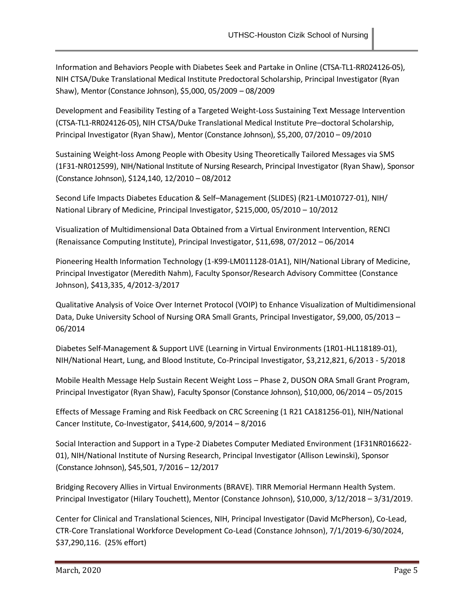Information and Behaviors People with Diabetes Seek and Partake in Online (CTSA-TL1-RR024126-05), NIH CTSA/Duke Translational Medical Institute Predoctoral Scholarship, Principal Investigator (Ryan Shaw), Mentor (Constance Johnson), \$5,000, 05/2009 – 08/2009

Development and Feasibility Testing of a Targeted Weight-Loss Sustaining Text Message Intervention (CTSA-TL1-RR024126-05), NIH CTSA/Duke Translational Medical Institute Pre–doctoral Scholarship, Principal Investigator (Ryan Shaw), Mentor (Constance Johnson), \$5,200, 07/2010 – 09/2010

Sustaining Weight-loss Among People with Obesity Using Theoretically Tailored Messages via SMS (1F31-NR012599), NIH/National Institute of Nursing Research, Principal Investigator (Ryan Shaw), Sponsor (Constance Johnson), \$124,140, 12/2010 – 08/2012

Second Life Impacts Diabetes Education & Self–Management (SLIDES) (R21-LM010727-01), NIH/ National Library of Medicine, Principal Investigator, \$215,000, 05/2010 – 10/2012

Visualization of Multidimensional Data Obtained from a Virtual Environment Intervention, RENCI (Renaissance Computing Institute), Principal Investigator, \$11,698, 07/2012 – 06/2014

Pioneering Health Information Technology (1-K99-LM011128-01A1), NIH/National Library of Medicine, Principal Investigator (Meredith Nahm), Faculty Sponsor/Research Advisory Committee (Constance Johnson), \$413,335, 4/2012-3/2017

Qualitative Analysis of Voice Over Internet Protocol (VOIP) to Enhance Visualization of Multidimensional Data, Duke University School of Nursing ORA Small Grants, Principal Investigator, \$9,000, 05/2013 -06/2014

Diabetes Self-Management & Support LIVE (Learning in Virtual Environments (1R01-HL118189-01), NIH/National Heart, Lung, and Blood Institute, Co-Principal Investigator, \$3,212,821, 6/2013 - 5/2018

Mobile Health Message Help Sustain Recent Weight Loss – Phase 2, DUSON ORA Small Grant Program, Principal Investigator (Ryan Shaw), Faculty Sponsor (Constance Johnson), \$10,000, 06/2014 – 05/2015

Effects of Message Framing and Risk Feedback on CRC Screening (1 R21 CA181256-01), NIH/National Cancer Institute, Co-Investigator, \$414,600, 9/2014 – 8/2016

Social Interaction and Support in a Type-2 Diabetes Computer Mediated Environment (1F31NR016622- 01), NIH/National Institute of Nursing Research, Principal Investigator (Allison Lewinski), Sponsor (Constance Johnson), \$45,501, 7/2016 – 12/2017

Bridging Recovery Allies in Virtual Environments (BRAVE). TIRR Memorial Hermann Health System. Principal Investigator (Hilary Touchett), Mentor (Constance Johnson), \$10,000, 3/12/2018 – 3/31/2019.

Center for Clinical and Translational Sciences, NIH, Principal Investigator (David McPherson), Co-Lead, CTR-Core Translational Workforce Development Co-Lead (Constance Johnson), 7/1/2019-6/30/2024, \$37,290,116. (25% effort)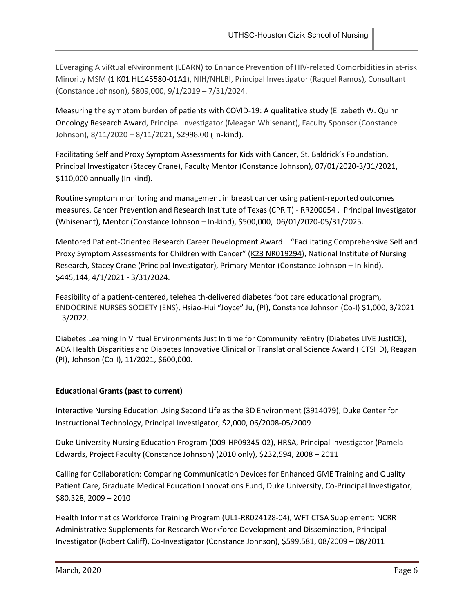LEveraging A viRtual eNvironment (LEARN) to Enhance Prevention of HIV-related Comorbidities in at-risk Minority MSM (1 K01 HL145580-01A1), NIH/NHLBI, Principal Investigator (Raquel Ramos), Consultant (Constance Johnson), \$809,000, 9/1/2019 – 7/31/2024.

Measuring the symptom burden of patients with COVID-19: A qualitative study (Elizabeth W. Quinn Oncology Research Award, Principal Investigator (Meagan Whisenant), Faculty Sponsor (Constance Johnson), 8/11/2020 – 8/11/2021, \$2998.00 (In-kind).

Facilitating Self and Proxy Symptom Assessments for Kids with Cancer, St. Baldrick's Foundation, Principal Investigator (Stacey Crane), Faculty Mentor (Constance Johnson), 07/01/2020-3/31/2021, \$110,000 annually (In-kind).

Routine symptom monitoring and management in breast cancer using patient-reported outcomes measures. Cancer Prevention and Research Institute of Texas (CPRIT) - RR200054 . Principal Investigator (Whisenant), Mentor (Constance Johnson – In-kind), \$500,000, 06/01/2020-05/31/2025.

Mentored Patient-Oriented Research Career Development Award – "Facilitating Comprehensive Self and Proxy Symptom Assessments for Children with Cancer" (K23 NR019294), National Institute of Nursing Research, Stacey Crane (Principal Investigator), Primary Mentor (Constance Johnson – In-kind), \$445,144, 4/1/2021 - 3/31/2024.

Feasibility of a patient-centered, telehealth-delivered diabetes foot care educational program, ENDOCRINE NURSES SOCIETY (ENS), Hsiao-Hui "Joyce" Ju, (PI), Constance Johnson (Co-I) \$1,000, 3/2021  $-3/2022$ .

Diabetes Learning In Virtual Environments Just In time for Community reEntry (Diabetes LIVE JustICE), ADA Health Disparities and Diabetes Innovative Clinical or Translational Science Award (ICTSHD), Reagan (PI), Johnson (Co-I), 11/2021, \$600,000.

## **Educational Grants (past to current)**

Interactive Nursing Education Using Second Life as the 3D Environment (3914079), Duke Center for Instructional Technology, Principal Investigator, \$2,000, 06/2008-05/2009

Duke University Nursing Education Program (D09-HP09345-02), HRSA, Principal Investigator (Pamela Edwards, Project Faculty (Constance Johnson) (2010 only), \$232,594, 2008 – 2011

Calling for Collaboration: Comparing Communication Devices for Enhanced GME Training and Quality Patient Care, Graduate Medical Education Innovations Fund, Duke University, Co-Principal Investigator, \$80,328, 2009 – 2010

Health Informatics Workforce Training Program (UL1-RR024128-04), WFT CTSA Supplement: NCRR Administrative Supplements for Research Workforce Development and Dissemination, Principal Investigator (Robert Califf), Co-Investigator (Constance Johnson), \$599,581, 08/2009 – 08/2011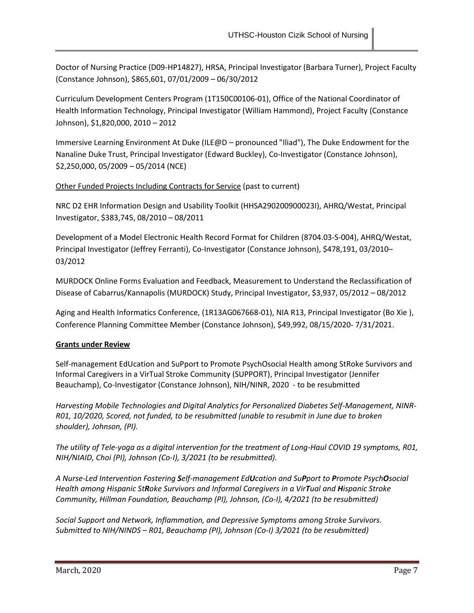Doctor of Nursing Practice (D09-HP14827), HRSA, Principal Investigator (Barbara Turner), Project Faculty (Constance Johnson), \$865,601, 07/01/2009 – 06/30/2012

Curriculum Development Centers Program (1T150C00106-01), Office of the National Coordinator of Health Information Technology, Principal Investigator (William Hammond), Project Faculty (Constance Johnson), \$1,820,000, 2010 – 2012

Immersive Learning Environment At Duke (ILE@D – pronounced "Iliad"), The Duke Endowment for the Nanaline Duke Trust, Principal Investigator (Edward Buckley), Co-Investigator (Constance Johnson), \$2,250,000, 05/2009 – 05/2014 (NCE)

## Other Funded Projects Including Contracts for Service (past to current)

NRC D2 EHR Information Design and Usability Toolkit (HHSA290200900023I), AHRQ/Westat, Principal Investigator, \$383,745, 08/2010 – 08/2011

Development of a Model Electronic Health Record Format for Children (8704.03-S-004), AHRQ/Westat, Principal Investigator (Jeffrey Ferranti), Co-Investigator (Constance Johnson), \$478,191, 03/2010– 03/2012

MURDOCK Online Forms Evaluation and Feedback, Measurement to Understand the Reclassification of Disease of Cabarrus/Kannapolis (MURDOCK) Study, Principal Investigator, \$3,937, 05/2012 – 08/2012

Aging and Health Informatics Conference, (1R13AG067668-01), NIA R13, Principal Investigator (Bo Xie ), Conference Planning Committee Member (Constance Johnson), \$49,992, 08/15/2020- 7/31/2021.

## **Grants under Review**

Self-management EdUcation and SuPport to Promote PsychOsocial Health among StRoke Survivors and Informal Caregivers in a VirTual Stroke Community (SUPPORT), Principal Investigator (Jennifer Beauchamp), Co-Investigator (Constance Johnson), NIH/NINR, 2020 - to be resubmitted

*Harvesting Mobile Technologies and Digital Analytics for Personalized Diabetes Self-Management, NINR-R01, 10/2020, Scored, not funded, to be resubmitted (unable to resubmit in June due to broken shoulder), Johnson, (PI).*

*The utility of Tele-yoga as a digital intervention for the treatment of Long-Haul COVID 19 symptoms, R01, NIH/NIAID, Choi (PI), Johnson (Co-I), 3/2021 (to be resubmitted).* 

*A Nurse-Led Intervention Fostering Self-management EdUcation and SuPport to Promote PsychOsocial Health among Hispanic StRoke Survivors and Informal Caregivers in a VirTual and Hispanic Stroke Community, Hillman Foundation, Beauchamp (PI), Johnson, (Co-I), 4/2021 (to be resubmitted)*

*Social Support and Network, Inflammation, and Depressive Symptoms among Stroke Survivors. Submitted to NIH/NINDS – R01, Beauchamp (PI), Johnson (Co-I) 3/2021 (to be resubmitted)*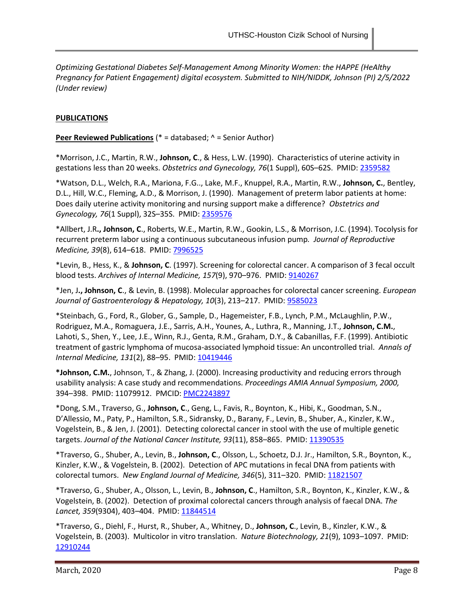*Optimizing Gestational Diabetes Self-Management Among Minority Women: the HAPPE (HeAlthy Pregnancy for Patient Engagement) digital ecosystem. Submitted to NIH/NIDDK, Johnson (PI) 2/5/2022 (Under review)*

#### **PUBLICATIONS**

**Peer Reviewed Publications** (\* = databased; ^ = Senior Author)

\*Morrison, J.C., Martin, R.W., **Johnson, C**., & Hess, L.W. (1990). Characteristics of uterine activity in gestations less than 20 weeks. *Obstetrics and Gynecology, 76*(1 Suppl), 60S–62S. PMID: [2359582](http://www.ncbi.nlm.nih.gov/pubmed/?term=2359582)

\*Watson, D.L., Welch, R.A., Mariona, F.G.., Lake, M.F., Knuppel, R.A., Martin, R.W., **Johnson, C.**, Bentley, D.L., Hill, W.C., Fleming, A.D., & Morrison, J. (1990). Management of preterm labor patients at home: Does daily uterine activity monitoring and nursing support make a difference? *Obstetrics and Gynecology, 76*(1 Suppl), 32S–35S. PMID[: 2359576](http://www.ncbi.nlm.nih.gov/pubmed/2359576)

\*Allbert, J.R**., Johnson, C**., Roberts, W.E., Martin, R.W., Gookin, L.S., & Morrison, J.C. (1994). Tocolysis for recurrent preterm labor using a continuous subcutaneous infusion pump*. Journal of Reproductive Medicine, 39*(8), 614–618. PMID[: 7996525](http://www.ncbi.nlm.nih.gov/pubmed/?term=7996525)

\*Levin, B., Hess, K., & **Johnson, C**. (1997). Screening for colorectal cancer. A comparison of 3 fecal occult blood tests. *Archives of Internal Medicine, 157*(9), 970–976. PMID[: 9140267](http://www.ncbi.nlm.nih.gov/pubmed/?term=9140267)

\*Jen, J**., Johnson, C**., & Levin, B. (1998). Molecular approaches for colorectal cancer screening. *European Journal of Gastroenterology & Hepatology, 10*(3), 213–217. PMID: [9585023](http://www.ncbi.nlm.nih.gov/pubmed/?term=9585023)

\*Steinbach, G., Ford, R., Glober, G., Sample, D., Hagemeister, F.B., Lynch, P.M., McLaughlin, P.W., Rodriguez, M.A., Romaguera, J.E., Sarris, A.H., Younes, A., Luthra, R., Manning, J.T., **Johnson, C.M.**, Lahoti, S., Shen, Y., Lee, J.E., Winn, R.J., Genta, R.M., Graham, D.Y., & Cabanillas, F.F. (1999). Antibiotic treatment of gastric lymphoma of mucosa-associated lymphoid tissue: An uncontrolled trial. *Annals of Internal Medicine, 131*(2), 88-95. PMID: [10419446](http://www.ncbi.nlm.nih.gov/pubmed/?term=10419446)

**\*Johnson, C.M.**, Johnson, T., & Zhang, J. (2000). Increasing productivity and reducing errors through usability analysis: A case study and recommendations. *Proceedings AMIA Annual Symposium, 2000,* 394–398. PMID: 11079912. PMCID: [PMC2243897](http://www.ncbi.nlm.nih.gov/pmc/articles/PMC2243897/)

\*Dong, S.M., Traverso, G., **Johnson, C**., Geng, L., Favis, R., Boynton, K., Hibi, K., Goodman, S.N., D'Allessio, M., Paty, P., Hamilton, S.R., Sidransky, D., Barany, F., Levin, B., Shuber, A., Kinzler, K.W., Vogelstein, B., & Jen, J. (2001). Detecting colorectal cancer in stool with the use of multiple genetic targets. *Journal of the National Cancer Institute, 93*(11), 858–865. PMID[: 11390535](http://www.ncbi.nlm.nih.gov/pubmed/?term=11390535)

\*Traverso, G., Shuber, A., Levin, B., **Johnson, C**., Olsson, L., Schoetz, D.J. Jr., Hamilton, S.R., Boynton, K., Kinzler, K.W., & Vogelstein, B. (2002). Detection of APC mutations in fecal DNA from patients with colorectal tumors. *New England Journal of Medicine, 346*(5), 311–320. PMID[: 11821507](http://www.ncbi.nlm.nih.gov/pubmed/?term=11821507)

\*Traverso, G., Shuber, A., Olsson, L., Levin, B., **Johnson, C**., Hamilton, S.R., Boynton, K., Kinzler, K.W., & Vogelstein, B. (2002). Detection of proximal colorectal cancers through analysis of faecal DNA. *The Lancet, 359*(9304), 403–404. PMID: [11844514](http://www.ncbi.nlm.nih.gov/pubmed/?term=11844514)

\*Traverso, G., Diehl, F., Hurst, R., Shuber, A., Whitney, D., **Johnson, C**., Levin, B., Kinzler, K.W., & Vogelstein, B. (2003). Multicolor in vitro translation. *Nature Biotechnology, 21*(9), 1093–1097. PMID: [12910244](http://www.ncbi.nlm.nih.gov/pubmed/?term=12910244)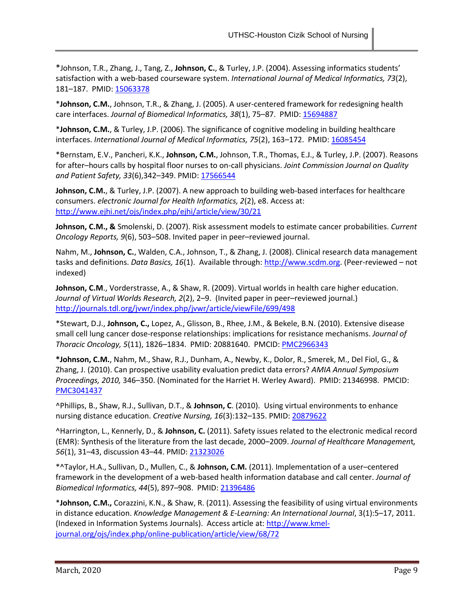\*Johnson, T.R., Zhang, J., Tang, Z., **Johnson, C.**, & Turley, J.P. (2004). Assessing informatics students' satisfaction with a web-based courseware system. *International Journal of Medical Informatics, 73*(2), 181–187. PMID[: 15063378](http://www.ncbi.nlm.nih.gov/pubmed/?term=15063378)

\***Johnson, C.M.**, Johnson, T.R., & Zhang, J. (2005). A user-centered framework for redesigning health care interfaces. Journal of Biomedical Informatics, 38(1), 75-87. PMID[: 15694887](http://www.ncbi.nlm.nih.gov/pubmed/?term=15694887)

\***Johnson, C.M.**, & Turley, J.P. (2006). The significance of cognitive modeling in building healthcare interfaces. *International Journal of Medical Informatics, 75*(2), 163-172. PMID: [16085454](http://www.ncbi.nlm.nih.gov/pubmed/?term=16085454)

\*Bernstam, E.V., Pancheri, K.K., **Johnson, C.M.**, Johnson, T.R., Thomas, E.J., & Turley, J.P. (2007). Reasons for after–hours calls by hospital floor nurses to on-call physicians. *Joint Commission Journal on Quality and Patient Safety, 33*(6),342–349. PMID[: 17566544](http://www.ncbi.nlm.nih.gov/pubmed/?term=17566544)

Johnson, C.M., & Turley, J.P. (2007). A new approach to building web-based interfaces for healthcare consumers. *electronic Journal for Health Informatics, 2*(2), e8. Access at: <http://www.ejhi.net/ojs/index.php/ejhi/article/view/30/21>

**Johnson, C.M., &** Smolenski, D. (2007). Risk assessment models to estimate cancer probabilities. *Current Oncology Reports, 9*(6), 503–508. Invited paper in peer–reviewed journal.

Nahm, M., **Johnson, C.**, Walden, C.A., Johnson, T., & Zhang, J. (2008). Clinical research data management tasks and definitions. *Data Basics, 16*(1). Available through[: http://www.scdm.org.](http://www.scdm.org/) (Peer-reviewed – not indexed)

**Johnson, C.M**., Vorderstrasse, A., & Shaw, R. (2009). Virtual worlds in health care higher education. *Journal of Virtual Worlds Research, 2*(2), 2–9. (Invited paper in peer–reviewed journal.) <http://journals.tdl.org/jvwr/index.php/jvwr/article/viewFile/699/498>

\*Stewart, D.J., **Johnson, C.,** Lopez, A., Glisson, B., Rhee, J.M., & Bekele, B.N. (2010). Extensive disease small cell lung cancer dose-response relationships: implications for resistance mechanisms. *Journal of Thoracic Oncology, 5*(11), 1826–1834. PMID: 20881640. PMCID: [PMC2966343](http://www.ncbi.nlm.nih.gov/pmc/articles/PMC2966343/)

**\*Johnson, C.M.**, Nahm, M., Shaw, R.J., Dunham, A., Newby, K., Dolor, R., Smerek, M., Del Fiol, G., & Zhang, J. (2010). Can prospective usability evaluation predict data errors? *AMIA Annual Symposium Proceedings, 2010,* 346–350. (Nominated for the Harriet H. Werley Award). PMID: 21346998. PMCID: [PMC3041437](http://www.ncbi.nlm.nih.gov/pmc/articles/PMC3041437/) 

^Phillips, B., Shaw, R.J., Sullivan, D.T., & **Johnson, C**. (2010). Using virtual environments to enhance nursing distance education. *Creative Nursing, 16*(3):132–135. PMID[: 20879622](http://www.ncbi.nlm.nih.gov/pubmed/?term=20879622)

^Harrington, L., Kennerly, D., & **Johnson, C.** (2011). Safety issues related to the electronic medical record (EMR): Synthesis of the literature from the last decade, 2000–2009. *Journal of Healthcare Managemen*t*, 56*(1), 31–43, discussion 43–44. PMID: [21323026](http://www.ncbi.nlm.nih.gov/pubmed/?term=21323026)

\*^Taylor, H.A., Sullivan, D., Mullen, C., & **Johnson, C.M.** (2011). Implementation of a user–centered framework in the development of a web-based health information database and call center. *Journal of Biomedical Informatics, 44*(5), 897–908. PMID[: 21396486](http://www.ncbi.nlm.nih.gov/pubmed/?term=21396486)

\***Johnson, C.M.,** Corazzini, K.N., & Shaw, R. (2011). Assessing the feasibility of using virtual environments in distance education. *Knowledge Management & E-Learning: An International Journal*, 3(1):5–17, 2011. (Indexed in Information Systems Journals). Access article at: [http://www.kmel](http://www.kmel-journal.org/ojs/index.php/online-publication/article/view/68/72)[journal.org/ojs/index.php/online-publication/article/view/68/72](http://www.kmel-journal.org/ojs/index.php/online-publication/article/view/68/72)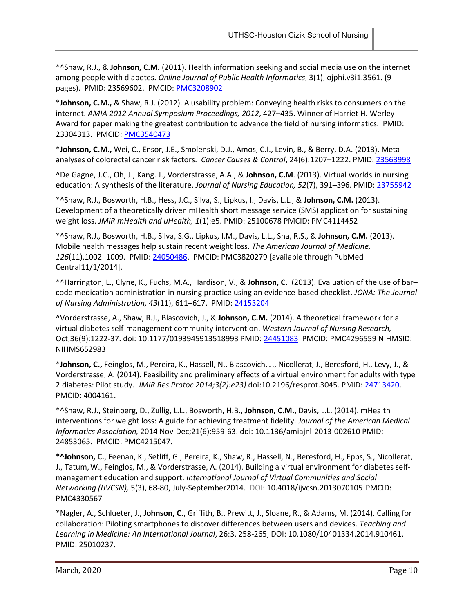\*^Shaw, R.J., & **Johnson, C.M.** (2011). Health information seeking and social media use on the internet among people with diabetes. *Online Journal of Public Health Informatics*, 3(1), ojphi.v3i1.3561. (9 pages). PMID: 23569602. PMCID[: PMC3208902](http://www.ncbi.nlm.nih.gov/pmc/articles/PMC3615779/)

\***Johnson, C.M.,** & Shaw, R.J. (2012). A usability problem: Conveying health risks to consumers on the internet. *AMIA 2012 Annual Symposium Proceedings, 2012*, 427–435. Winner of Harriet H. Werley Award for paper making the greatest contribution to advance the field of nursing informatics. PMID: 23304313. PMCID: [PMC3540473](http://www.ncbi.nlm.nih.gov/pmc/articles/PMC3540473/)

\***Johnson, C.M.,** Wei, C., Ensor, J.E., Smolenski, D.J., Amos, C.I., Levin, B., & Berry, D.A. (2013). Metaanalyses of colorectal cancer risk factors. *Cancer Causes & Control*, 24(6):1207–1222. PMID: [23563998](http://www.ncbi.nlm.nih.gov/pubmed/?term=23563998)

^De Gagne, J.C., Oh, J., Kang. J., Vorderstrasse, A.A., & **Johnson, C.M**. (2013). Virtual worlds in nursing education: A synthesis of the literature. *Journal of Nursing Education, 52*(7), 391–396. PMID: [23755942](http://www.ncbi.nlm.nih.gov/pubmed/?term=23755942)

\*^Shaw, R.J., Bosworth, H.B., Hess, J.C., Silva, S., Lipkus, I., Davis, L.L., & **Johnson, C.M.** (2013). Development of a theoretically driven mHealth short message service (SMS) application for sustaining weight loss. *JMIR mHealth and uHealth, 1*(1):e5. PMID: 25100678 PMCID: PMC4114452

\*^Shaw, R.J., Bosworth, H.B., Silva, S.G., Lipkus, I.M., Davis, L.L., Sha, R.S., & **Johnson, C.M.** (2013). Mobile health messages help sustain recent weight loss. *The American Journal of Medicine, 126*(11),1002–1009. PMID: [24050486.](http://www.ncbi.nlm.nih.gov/pubmed/?term=24050486) PMCID: PMC3820279 [available through PubMed Central11/1/2014].

\*^Harrington, L., Clyne, K., Fuchs, M.A., Hardison, V., & **Johnson, C.** (2013). Evaluation of the use of bar– code medication administration in nursing practice using an evidence-based checklist. *JONA: The Journal of Nursing Administration, 43*(11), 611–617. PMID: [24153204](http://www.ncbi.nlm.nih.gov/pubmed/?term=24153204)

^Vorderstrasse, A., Shaw, R.J., Blascovich, J., & **Johnson, C.M.** (2014). A theoretical framework for a virtual diabetes self-management community intervention. *Western Journal of Nursing Research,* Oct;36(9):1222-37. doi: 10.1177/0193945913518993 PMID[: 24451083](http://www.ncbi.nlm.nih.gov/pubmed/24451083) PMCID: PMC4296559 NIHMSID: NIHMS652983

\***Johnson, C.,** Feinglos, M., Pereira, K., Hassell, N., Blascovich, J., Nicollerat, J., Beresford, H., Levy, J., & Vorderstrasse, A. (2014). Feasibility and preliminary effects of a virtual environment for adults with type 2 diabetes: Pilot study. *JMIR Res Protoc 2014;3(2):e23)* doi:10.2196/resprot.3045. PMID: [24713420.](http://www.ncbi.nlm.nih.gov/pubmed/24713420) PMCID: 4004161.

\*^Shaw, R.J., Steinberg, D., Zullig, L.L., Bosworth, H.B., **Johnson, C.M.**, Davis, L.L. (2014). mHealth interventions for weight loss: A guide for achieving treatment fidelity. *Journal of the American Medical Informatics Association,* 2014 Nov-Dec;21(6):959-63. doi: 10.1136/amiajnl-2013-002610 PMID: 24853065. PMCID: PMC4215047.

**\*^Johnson, C.**, Feenan, K., Setliff, G., Pereira, K., Shaw, R., Hassell, N., Beresford, H., Epps, S., Nicollerat, J., Tatum,W., Feinglos, M., & Vorderstrasse, A. (2014). Building a virtual environment for diabetes selfmanagement education and support. *International Journal of Virtual Communities and Social Networking (IJVCSN),* 5(3), 68-80, July-September2014. DOI: 10.4018/ijvcsn.2013070105 PMCID: PMC4330567

**\***Nagler, A., Schlueter, J., **Johnson, C.**, Griffith, B., Prewitt, J., Sloane, R., & Adams, M. (2014). Calling for collaboration: Piloting smartphones to discover differences between users and devices. *Teaching and Learning in Medicine: An International Journal*, 26:3, 258-265, DOI: 10.1080/10401334.2014.910461, PMID: 25010237.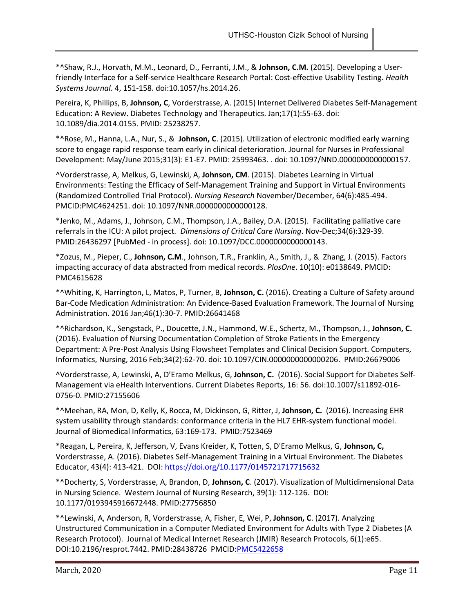\*^Shaw, R.J., Horvath, M.M., Leonard, D., Ferranti, J.M., & **Johnson, C.M.** (2015). Developing a Userfriendly Interface for a Self-service Healthcare Research Portal: Cost-effective Usability Testing. *Health Systems Journal*. 4, 151-158. doi:10.1057/hs.2014.26.

Pereira, K, Phillips, B, **Johnson, C**, Vorderstrasse, A. (2015) Internet Delivered Diabetes Self-Management Education: A Review. Diabetes Technology and Therapeutics. Jan;17(1):55-63. doi: 10.1089/dia.2014.0155. PMID: 25238257.

\*^Rose, M., Hanna, L.A., Nur, S., & **Johnson, C**. (2015). Utilization of electronic modified early warning score to engage rapid response team early in clinical deterioration. Journal for Nurses in Professional Development: May/June 2015;31(3): E1-E7. PMID: 25993463. . doi: 10.1097/NND.0000000000000157.

^Vorderstrasse, A, Melkus, G, Lewinski, A, **Johnson, CM**. (2015). Diabetes Learning in Virtual Environments: Testing the Efficacy of Self-Management Training and Support in Virtual Environments (Randomized Controlled Trial Protocol). *Nursing Research* November/December, 64(6):485-494. PMCID:PMC4624251. doi: 10.1097/NNR.0000000000000128.

\*Jenko, M., Adams, J., Johnson, C.M., Thompson, J.A., Bailey, D.A. (2015). Facilitating palliative care referrals in the ICU: A pilot project*. Dimensions of Critical Care Nursing*. Nov-Dec;34(6):329-39. PMID:26436297 [PubMed - in process]. doi: 10.1097/DCC.0000000000000143.

\*Zozus, M., Pieper, C., **Johnson, C.M**., Johnson, T.R., Franklin, A., Smith, J., & Zhang, J. (2015). Factors impacting accuracy of data abstracted from medical records. *PlosOne*. 10(10): e0138649. PMCID: PMC4615628

\*^Whiting, K, Harrington, L, Matos, P, Turner, B, **Johnson, C.** (2016). Creating a Culture of Safety around Bar-Code Medication Administration: An Evidence-Based Evaluation Framework. The Journal of Nursing Administration. 2016 Jan;46(1):30-7. PMID:26641468

\*^Richardson, K., Sengstack, P., Doucette, J.N., Hammond, W.E., Schertz, M., Thompson, J., **Johnson, C.**  (2016). Evaluation of Nursing Documentation Completion of Stroke Patients in the Emergency Department: A Pre-Post Analysis Using Flowsheet Templates and Clinical Decision Support. Computers, Informatics, Nursing, 2016 Feb;34(2):62-70. doi: 10.1097/CIN.0000000000000206. PMID:26679006

^Vorderstrasse, A, Lewinski, A, D'Eramo Melkus, G, **Johnson, C.** (2016). Social Support for Diabetes Self-Management via eHealth Interventions. Current Diabetes Reports, 16: 56. doi:10.1007/s11892-016- 0756-0. PMID:27155606

\*^Meehan, RA, Mon, D, Kelly, K, Rocca, M, Dickinson, G, Ritter, J, **Johnson, C.** (2016). Increasing EHR system usability through standards: conformance criteria in the HL7 EHR-system functional model. Journal of Biomedical Informatics, 63:169-173. PMID:7523469

\*Reagan, L, Pereira, K, Jefferson, V, Evans Kreider, K, Totten, S, D'Eramo Melkus, G, **Johnson, C,** Vorderstrasse, A. (2016). Diabetes Self-Management Training in a Virtual Environment. The Diabetes Educator, 43(4): 413-421. DOI:<https://doi.org/10.1177/0145721717715632>

\*^Docherty, S, Vorderstrasse, A, Brandon, D, **Johnson, C**. (2017). Visualization of Multidimensional Data in Nursing Science. Western Journal of Nursing Research, 39(1): 112-126. DOI: 10.1177/0193945916672448. PMID:27756850

\*^Lewinski, A, Anderson, R, Vorderstrasse, A, Fisher, E, Wei, P, **Johnson, C**. (2017). Analyzing Unstructured Communication in a Computer Mediated Environment for Adults with Type 2 Diabetes (A Research Protocol). Journal of Medical Internet Research (JMIR) Research Protocols, 6(1):e65. DOI:10.2196/resprot.7442. PMID:28438726 PMCID[:PMC5422658](https://www.ncbi.nlm.nih.gov/pmc/articles/PMC5422658/)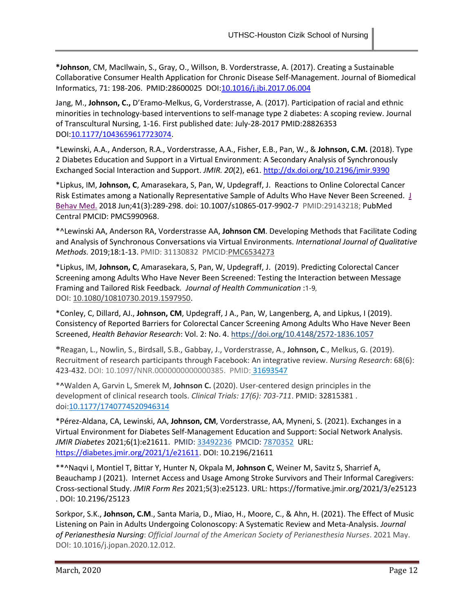**\*Johnson**, CM, MacIlwain, S., Gray, O., Willson, B. Vorderstrasse, A. (2017). Creating a Sustainable Collaborative Consumer Health Application for Chronic Disease Self-Management. Journal of Biomedical Informatics, 71: 198-206. PMID:28600025 DOI[:10.1016/j.jbi.2017.06.004](https://doi.org/10.1016/j.jbi.2017.06.004)

Jang, M., **Johnson, C.,** D'Eramo-Melkus, G, Vorderstrasse, A. (2017). Participation of racial and ethnic minorities in technology-based interventions to self-manage type 2 diabetes: A scoping review. Journal of Transcultural Nursing, 1-16. First published date: July-28-2017 PMID:28826353 DOI[:10.1177/1043659617723074.](https://doi.org/10.1177/1043659617723074)

\*Lewinski, A.A., Anderson, R.A., Vorderstrasse, A.A., Fisher, E.B., Pan, W., & **Johnson, C.M.** (2018). Type 2 Diabetes Education and Support in a Virtual Environment: A Secondary Analysis of Synchronously Exchanged Social Interaction and Support. *JMIR. 20*(2), e61. [http://dx.doi.org/10.2196/jmir.9390](https://urldefense.proofpoint.com/v2/url?u=http-3A__dx.doi.org_10.2196_jmir.9390&d=DwMFaQ&c=imBPVzF25OnBgGmVOlcsiEgHoG1i6YHLR0Sj_gZ4adc&r=bFM7iIO1SuY_q-xuXMuuYaXlnqzKpWMWf6FkcWcdvDY&m=HTOEgHqnlqBq_GIwnp6-8D6jUCI8AWHCFPYTS85tQNg&s=5E07FaV93afkDv9Gs3koO8yrCxphFZZYsbM6UnN-qWY&e=)

\*Lipkus, IM, **Johnson, C**, Amarasekara, S, Pan, W, Updegraff, J. Reactions to Online Colorectal Cancer Risk Estimates among a Nationally Representative Sample of Adults Who Have Never Been Screened. [J](https://www.ncbi.nlm.nih.gov/pubmed/29143218)  [Behav Med.](https://www.ncbi.nlm.nih.gov/pubmed/29143218) 2018 Jun;41(3):289-298. doi: 10.1007/s10865-017-9902-7 PMID:29143218; PubMed Central PMCID: PMC5990968.

\*^Lewinski AA, Anderson RA, Vorderstrasse AA, **Johnson CM**. Developing Methods that Facilitate Coding and Analysis of Synchronous Conversations via Virtual Environments. *International Journal of Qualitative Methods.* 2019;18:1-13. PMID: 31130832 PMCID[:PMC6534273](https://www.ncbi.nlm.nih.gov/pmc/articles/PMC6534273/)

\*Lipkus, IM, **Johnson, C**, Amarasekara, S, Pan, W, Updegraff, J. (2019). Predicting Colorectal Cancer Screening among Adults Who Have Never Been Screened: Testing the Interaction between Message Framing and Tailored Risk Feedback*. Journal of Health Communication* :1-9, DOI: [10.1080/10810730.2019.1597950.](https://doi.org/10.1080/10810730.2019.1597950)

\*Conley, C, Dillard, AJ., **Johnson, CM**, Updegraff, J A., Pan, W, Langenberg, A, and Lipkus, I (2019). Consistency of Reported Barriers for Colorectal Cancer Screening Among Adults Who Have Never Been Screened, *Health Behavior Research*: Vol. 2: No. 4. [https://doi.org/10.4148/2572-1836.1057](https://urldefense.proofpoint.com/v2/url?u=https-3A__doi.org_10.4148_2572-2D1836.1057&d=DwMFAw&c=bKRySV-ouEg_AT-w2QWsTdd9X__KYh9Eq2fdmQDVZgw&r=DI94OjuHWhKav8kjUgIyITdvQwT9e1trq82zL-VE4v4&m=5ocGATrIJ06slnQMdBKemSR7kKsWLS12AUTxbQUb9-4&s=r0nbeHf90taWzB0A-NzQm9f4kbf8ANLu0Q0W1K22dv0&e=)

\*Reagan, L., Nowlin, S., Birdsall, S.B., Gabbay, J., Vorderstrasse, A., **Johnson, C**., Melkus, G. (2019). Recruitment of research participants through Facebook: An integrative review. *Nursing Research*: 68(6): 423-432. DOI: 10.1097/NNR.0000000000000385. PMID: [31693547](https://www.ncbi.nlm.nih.gov/pubmed/31693547)

\*^Walden A, Garvin L, Smerek M, **Johnson C.** (2020). User-centered design principles in the development of clinical research tools. *Clinical Trials: 17(6): 703-711*. PMID: 32815381 . doi[:10.1177/1740774520946314](https://doi.org/10.1177/1740774520946314)

\*Pérez-Aldana, CA, Lewinski, AA, **Johnson, CM**, Vorderstrasse, AA, Myneni, S. (2021). Exchanges in a Virtual Environment for Diabetes Self-Management Education and Support: Social Network Analysis. *JMIR Diabetes* 2021;6(1):e21611. PMID: [33492236](https://www.ncbi.nlm.nih.gov/pubmed/33492236) PMCID: [7870352](https://www.ncbi.nlm.nih.gov/pmc/articles/7870352) URL: [https://diabetes.jmir.org/2021/1/e21611.](https://diabetes.jmir.org/2021/1/e21611) DOI: 10.2196/21611

\*\*^Naqvi I, Montiel T, Bittar Y, Hunter N, Okpala M, **Johnson C**, Weiner M, Savitz S, Sharrief A, Beauchamp J (2021). Internet Access and Usage Among Stroke Survivors and Their Informal Caregivers: Cross-sectional Study. *JMIR Form Res* 2021;5(3):e25123. URL: https://formative.jmir.org/2021/3/e25123 . DOI: 10.2196/25123

Sorkpor, S.K., **Johnson, C.M**., Santa Maria, D., Miao, H., Moore, C., & Ahn, H. (2021). The Effect of Music Listening on Pain in Adults Undergoing Colonoscopy: A Systematic Review and Meta-Analysis. *Journal of Perianesthesia Nursing*: *Official Journal of the American Society of Perianesthesia Nurses*. 2021 May. DOI: 10.1016/j.jopan.2020.12.012.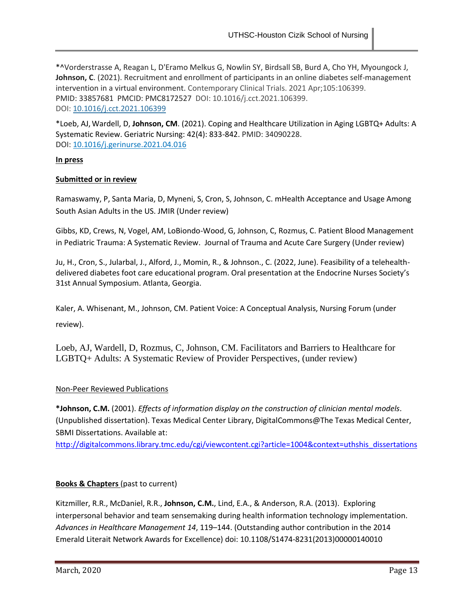\*^Vorderstrasse A, Reagan L, D'Eramo Melkus G, Nowlin SY, Birdsall SB, Burd A, Cho YH, Myoungock J, **Johnson, C**. (2021). Recruitment and enrollment of participants in an online diabetes self-management intervention in a virtual environment. Contemporary Clinical Trials. 2021 Apr;105:106399. PMID: 33857681 PMCID: PMC8172527 DOI: 10.1016/j.cct.2021.106399. DOI: [10.1016/j.cct.2021.106399](https://doi.org/10.1016/j.cct.2021.106399)

\*Loeb, AJ,Wardell, D, **Johnson, CM**. (2021). Coping and Healthcare Utilization in Aging LGBTQ+ Adults: A Systematic Review. Geriatric Nursing: 42(4): 833-842. PMID: 34090228. DOI: [10.1016/j.gerinurse.2021.04.016](https://doi.org/10.1016/j.gerinurse.2021.04.016)

## **In press**

#### **Submitted or in review**

Ramaswamy, P, Santa Maria, D, Myneni, S, Cron, S, Johnson, C. mHealth Acceptance and Usage Among South Asian Adults in the US. JMIR (Under review)

Gibbs, KD, Crews, N, Vogel, AM, LoBiondo-Wood, G, Johnson, C, Rozmus, C. Patient Blood Management in Pediatric Trauma: A Systematic Review. Journal of Trauma and Acute Care Surgery (Under review)

Ju, H., Cron, S., Jularbal, J., Alford, J., Momin, R., & Johnson., C. (2022, June). Feasibility of a telehealthdelivered diabetes foot care educational program. Oral presentation at the Endocrine Nurses Society's 31st Annual Symposium. Atlanta, Georgia.

Kaler, A. Whisenant, M., Johnson, CM. Patient Voice: A Conceptual Analysis, Nursing Forum (under review).

Loeb, AJ, Wardell, D, Rozmus, C, Johnson, CM. Facilitators and Barriers to Healthcare for LGBTQ+ Adults: A Systematic Review of Provider Perspectives, (under review)

## Non-Peer Reviewed Publications

**\*Johnson, C.M.** (2001). *Effects of information display on the construction of clinician mental models*. (Unpublished dissertation). Texas Medical Center Library, DigitalCommons@The Texas Medical Center, SBMI Dissertations. Available at:

[http://digitalcommons.library.tmc.edu/cgi/viewcontent.cgi?article=1004&context=uthshis\\_dissertations](http://digitalcommons.library.tmc.edu/cgi/viewcontent.cgi?article=1004&context=uthshis_dissertations)

## **Books & Chapters** (past to current)

Kitzmiller, R.R., McDaniel, R.R., **Johnson, C.M.**, Lind, E.A., & Anderson, R.A. (2013). Exploring interpersonal behavior and team sensemaking during health information technology implementation. *Advances in Healthcare Management 14*, 119–144. (Outstanding author contribution in the 2014 Emerald Literait Network Awards for Excellence) doi: 10.1108/S1474-8231(2013)00000140010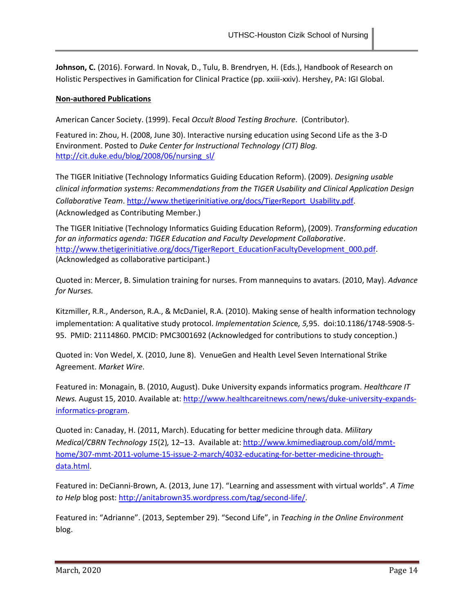**Johnson, C.** (2016). Forward. In Novak, D., Tulu, B. Brendryen, H. (Eds.), Handbook of Research on Holistic Perspectives in Gamification for Clinical Practice (pp. xxiii-xxiv). Hershey, PA: IGI Global.

## **Non-authored Publications**

American Cancer Society. (1999). Fecal *Occult Blood Testing Brochure*. (Contributor).

Featured in: Zhou, H. (2008, June 30). Interactive nursing education using Second Life as the 3-D Environment. Posted to *Duke Center for Instructional Technology (CIT) Blog.* http://cit.duke.edu/blog/2008/06/nursing\_sl/

The TIGER Initiative (Technology Informatics Guiding Education Reform). (2009). *Designing usable clinical information systems: Recommendations from the TIGER Usability and Clinical Application Design Collaborative Team*. [http://www.thetigerinitiative.org/docs/TigerReport\\_Usability.pdf.](http://www.thetigerinitiative.org/docs/TigerReport_Usability.pdf) (Acknowledged as Contributing Member.)

The TIGER Initiative (Technology Informatics Guiding Education Reform), (2009). *Transforming education for an informatics agenda: TIGER Education and Faculty Development Collaborative*. [http://www.thetigerinitiative.org/docs/TigerReport\\_EducationFacultyDevelopment\\_000.pdf.](http://www.thetigerinitiative.org/docs/TigerReport_EducationFacultyDevelopment_000.pdf) (Acknowledged as collaborative participant.)

Quoted in: Mercer, B. Simulation training for nurses. From mannequins to avatars. (2010, May). *Advance for Nurses.*

Kitzmiller, R.R., Anderson, R.A., & McDaniel, R.A. (2010). Making sense of health information technology implementation: A qualitative study protocol. *Implementation Scienc*e*, 5,*95. doi:10.1186/1748-5908-5- 95. PMID: 21114860. PMCID: PMC3001692 (Acknowledged for contributions to study conception.)

Quoted in: Von Wedel, X. (2010, June 8). VenueGen and Health Level Seven International Strike Agreement. *Market Wire*.

Featured in: Monagain, B. (2010, August). Duke University expands informatics program. *Healthcare IT News.* August 15, 2010. Available at: [http://www.healthcareitnews.com/news/duke-university-expands](http://www.healthcareitnews.com/news/duke-university-expands-informatics-program)[informatics-program.](http://www.healthcareitnews.com/news/duke-university-expands-informatics-program)

Quoted in: Canaday, H. (2011, March). Educating for better medicine through data. *Military Medical/CBRN Technology 15*(2)*,* 12–13. Available at: [http://www.kmimediagroup.com/old/mmt](http://www.kmimediagroup.com/old/mmt-home/307-mmt-2011-volume-15-issue-2-march/4032-educating-for-better-medicine-through-data.html)[home/307-mmt-2011-volume-15-issue-2-march/4032-educating-for-better-medicine-through](http://www.kmimediagroup.com/old/mmt-home/307-mmt-2011-volume-15-issue-2-march/4032-educating-for-better-medicine-through-data.html)[data.html.](http://www.kmimediagroup.com/old/mmt-home/307-mmt-2011-volume-15-issue-2-march/4032-educating-for-better-medicine-through-data.html)

Featured in: DeCianni-Brown, A. (2013, June 17). "Learning and assessment with virtual worlds". *A Time to Help* blog post: [http://anitabrown35.wordpress.com/tag/second-life/.](http://anitabrown35.wordpress.com/tag/second-life/)

Featured in: "Adrianne". (2013, September 29). "Second Life", in *Teaching in the Online Environment* blog.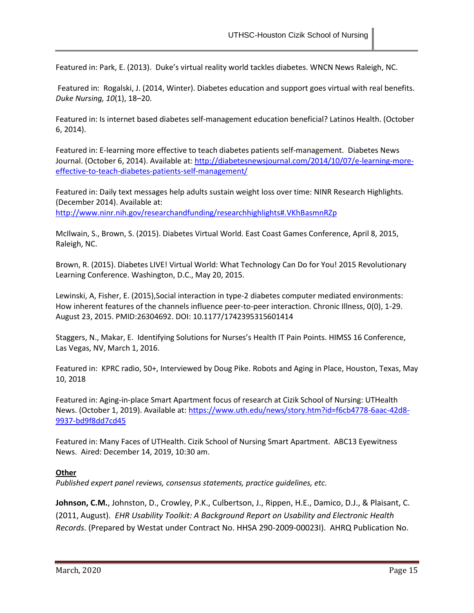Featured in: Park, E. (2013). Duke's virtual reality world tackles diabetes. WNCN News Raleigh, NC.

Featured in: Rogalski, J. (2014, Winter). Diabetes education and support goes virtual with real benefits. *Duke Nursing, 10*(1), 18–20.

Featured in: Is internet based diabetes self-management education beneficial? Latinos Health. (October 6, 2014).

Featured in: E-learning more effective to teach diabetes patients self-management. Diabetes News Journal. (October 6, 2014). Available at: [http://diabetesnewsjournal.com/2014/10/07/e-learning-more](http://diabetesnewsjournal.com/2014/10/07/e-learning-more-effective-to-teach-diabetes-patients-self-management/)[effective-to-teach-diabetes-patients-self-management/](http://diabetesnewsjournal.com/2014/10/07/e-learning-more-effective-to-teach-diabetes-patients-self-management/)

Featured in: Daily text messages help adults sustain weight loss over time: NINR Research Highlights. (December 2014). Available at: <http://www.ninr.nih.gov/researchandfunding/researchhighlights#.VKhBasmnRZp>

McIlwain, S., Brown, S. (2015). Diabetes Virtual World. East Coast Games Conference, April 8, 2015, Raleigh, NC.

Brown, R. (2015). Diabetes LIVE! Virtual World: What Technology Can Do for You! 2015 Revolutionary Learning Conference. Washington, D.C., May 20, 2015.

Lewinski, A, Fisher, E. (2015),Social interaction in type-2 diabetes computer mediated environments: How inherent features of the channels influence peer-to-peer interaction. Chronic Illness, 0(0), 1-29. August 23, 2015. PMID:26304692. DOI: 10.1177/1742395315601414

Staggers, N., Makar, E. Identifying Solutions for Nurses's Health IT Pain Points. HIMSS 16 Conference, Las Vegas, NV, March 1, 2016.

Featured in: KPRC radio, 50+, Interviewed by Doug Pike. Robots and Aging in Place, Houston, Texas, May 10, 2018

Featured in: Aging-in-place Smart Apartment focus of research at Cizik School of Nursing: UTHealth News. (October 1, 2019). Available at[: https://www.uth.edu/news/story.htm?id=f6cb4778-6aac-42d8-](https://www.uth.edu/news/story.htm?id=f6cb4778-6aac-42d8-9937-bd9f8dd7cd45) [9937-bd9f8dd7cd45](https://www.uth.edu/news/story.htm?id=f6cb4778-6aac-42d8-9937-bd9f8dd7cd45)

Featured in: Many Faces of UTHealth. Cizik School of Nursing Smart Apartment. ABC13 Eyewitness News. Aired: December 14, 2019, 10:30 am.

## **Other**

*Published expert panel reviews, consensus statements, practice guidelines, etc.*

**Johnson, C.M.**, Johnston, D., Crowley, P.K., Culbertson, J., Rippen, H.E., Damico, D.J., & Plaisant, C. (2011, August). *EHR Usability Toolkit: A Background Report on Usability and Electronic Health Records*. (Prepared by Westat under Contract No. HHSA 290-2009-00023I). AHRQ Publication No.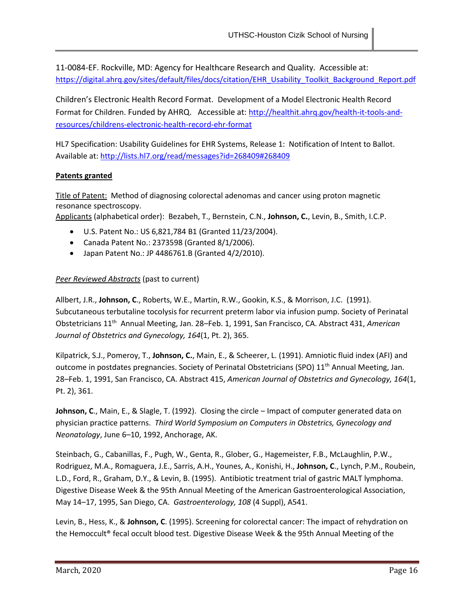11-0084-EF. Rockville, MD: Agency for Healthcare Research and Quality. Accessible at: [https://digital.ahrq.gov/sites/default/files/docs/citation/EHR\\_Usability\\_Toolkit\\_Background\\_Report.pdf](https://digital.ahrq.gov/sites/default/files/docs/citation/EHR_Usability_Toolkit_Background_Report.pdf)

Children's Electronic Health Record Format. Development of a Model Electronic Health Record Format for Children. Funded by AHRQ. Accessible at: [http://healthit.ahrq.gov/health-it-tools-and](http://healthit.ahrq.gov/health-it-tools-and-resources/childrens-electronic-health-record-ehr-format)[resources/childrens-electronic-health-record-ehr-format](http://healthit.ahrq.gov/health-it-tools-and-resources/childrens-electronic-health-record-ehr-format)

HL7 Specification: Usability Guidelines for EHR Systems, Release 1: Notification of Intent to Ballot. Available at[: http://lists.hl7.org/read/messages?id=268409#268409](http://lists.hl7.org/read/messages?id=268409#268409)

## **Patents granted**

Title of Patent: Method of diagnosing colorectal adenomas and cancer using proton magnetic resonance spectroscopy.

Applicants (alphabetical order): Bezabeh, T., Bernstein, C.N., **Johnson, C.**, Levin, B., Smith, I.C.P.

- U.S. Patent No.: US 6,821,784 B1 (Granted 11/23/2004).
- Canada Patent No.: 2373598 (Granted 8/1/2006).
- Japan Patent No.: JP 4486761.B (Granted 4/2/2010).

## *Peer Reviewed Abstracts* (past to current)

Allbert, J.R., **Johnson, C**., Roberts, W.E., Martin, R.W., Gookin, K.S., & Morrison, J.C. (1991). Subcutaneous terbutaline tocolysis for recurrent preterm labor via infusion pump. Society of Perinatal Obstetricians 11<sup>th</sup> Annual Meeting, Jan. 28–Feb. 1, 1991, San Francisco, CA. Abstract 431, American *Journal of Obstetrics and Gynecology, 164*(1, Pt. 2), 365.

Kilpatrick, S.J., Pomeroy, T., **Johnson, C.**, Main, E., & Scheerer, L. (1991). Amniotic fluid index (AFI) and outcome in postdates pregnancies. Society of Perinatal Obstetricians (SPO) 11<sup>th</sup> Annual Meeting, Jan. 28–Feb. 1, 1991, San Francisco, CA. Abstract 415, *American Journal of Obstetrics and Gynecology, 164*(1, Pt. 2), 361.

**Johnson, C.**, Main, E., & Slagle, T. (1992). Closing the circle – Impact of computer generated data on physician practice patterns. *Third World Symposium on Computers in Obstetrics, Gynecology and Neonatology*, June 6–10, 1992, Anchorage, AK.

Steinbach, G., Cabanillas, F., Pugh, W., Genta, R., Glober, G., Hagemeister, F.B., McLaughlin, P.W., Rodriguez, M.A., Romaguera, J.E., Sarris, A.H., Younes, A., Konishi, H., **Johnson, C**., Lynch, P.M., Roubein, L.D., Ford, R., Graham, D.Y., & Levin, B. (1995). Antibiotic treatment trial of gastric MALT lymphoma. Digestive Disease Week & the 95th Annual Meeting of the American Gastroenterological Association, May 14–17, 1995, San Diego, CA. *Gastroenterology, 108* (4 Suppl), A541.

Levin, B., Hess, K., & **Johnson, C**. (1995). Screening for colorectal cancer: The impact of rehydration on the Hemoccult® fecal occult blood test. Digestive Disease Week & the 95th Annual Meeting of the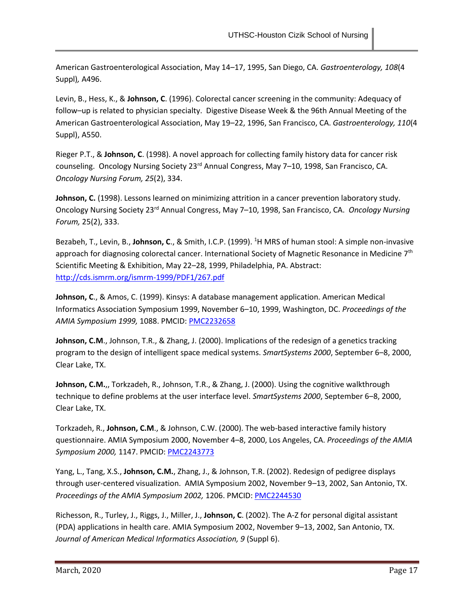American Gastroenterological Association, May 14–17, 1995, San Diego, CA. *Gastroenterology, 108*(4 Suppl)*,* A496.

Levin, B., Hess, K., & **Johnson, C**. (1996). Colorectal cancer screening in the community: Adequacy of follow–up is related to physician specialty. Digestive Disease Week & the 96th Annual Meeting of the American Gastroenterological Association, May 19–22, 1996, San Francisco, CA. *Gastroenterology, 110*(4 Suppl), A550.

Rieger P.T., & **Johnson, C**. (1998). A novel approach for collecting family history data for cancer risk counseling. Oncology Nursing Society 23<sup>rd</sup> Annual Congress, May 7-10, 1998, San Francisco, CA. *Oncology Nursing Forum, 25*(2), 334.

**Johnson, C.** (1998). Lessons learned on minimizing attrition in a cancer prevention laboratory study. Oncology Nursing Society 23rd Annual Congress, May 7–10, 1998, San Francisco, CA. *Oncology Nursing Forum,* 25(2), 333.

Bezabeh, T., Levin, B., **Johnson, C**., & Smith, I.C.P. (1999). <sup>1</sup>H MRS of human stool: A simple non-invasive approach for diagnosing colorectal cancer. International Society of Magnetic Resonance in Medicine 7<sup>th</sup> Scientific Meeting & Exhibition, May 22–28, 1999, Philadelphia, PA. Abstract: <http://cds.ismrm.org/ismrm-1999/PDF1/267.pdf>

**Johnson, C**., & Amos, C. (1999). Kinsys: A database management application. American Medical Informatics Association Symposium 1999, November 6–10, 1999, Washington, DC. *Proceedings of the AMIA Symposium 1999,* 1088. PMCID: [PMC2232658](http://www.ncbi.nlm.nih.gov/pmc/articles/PMC2232658/pdf/procamiasymp00004-1125.pdf)

**Johnson, C.M**., Johnson, T.R., & Zhang, J. (2000). Implications of the redesign of a genetics tracking program to the design of intelligent space medical systems. *SmartSystems 2000*, September 6–8, 2000, Clear Lake, TX.

**Johnson, C.M.**,, Torkzadeh, R., Johnson, T.R., & Zhang, J. (2000). Using the cognitive walkthrough technique to define problems at the user interface level. *SmartSystems 2000*, September 6–8, 2000, Clear Lake, TX.

Torkzadeh, R., **Johnson, C.M**., & Johnson, C.W. (2000). The web-based interactive family history questionnaire. AMIA Symposium 2000, November 4–8, 2000, Los Angeles, CA. *Proceedings of the AMIA Symposium 2000,* 1147. PMCID[: PMC2243773](http://www.ncbi.nlm.nih.gov/pmc/articles/PMC2243773/pdf/procamiasymp00003-1182.pdf)

Yang, L., Tang, X.S., **Johnson, C.M.**, Zhang, J., & Johnson, T.R. (2002). Redesign of pedigree displays through user-centered visualization. AMIA Symposium 2002, November 9–13, 2002, San Antonio, TX. *Proceedings of the AMIA Symposium 2002,* 1206. PMCID: [PMC2244530](http://www.ncbi.nlm.nih.gov/pmc/articles/PMC2244530/pdf/procamiasymp00001-1247.pdf)

Richesson, R., Turley, J., Riggs, J., Miller, J., **Johnson, C**. (2002). The A-Z for personal digital assistant (PDA) applications in health care. AMIA Symposium 2002, November 9–13, 2002, San Antonio, TX. Journal of American Medical Informatics Association, 9 (Suppl 6).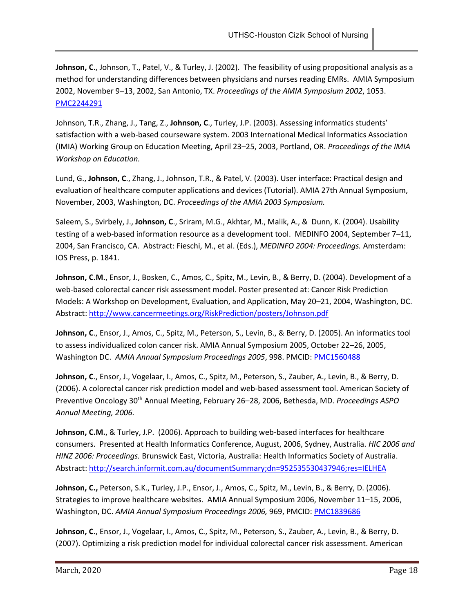**Johnson, C**., Johnson, T., Patel, V., & Turley, J. (2002). The feasibility of using propositional analysis as a method for understanding differences between physicians and nurses reading EMRs. AMIA Symposium 2002, November 9–13, 2002, San Antonio, TX. *Proceedings of the AMIA Symposium 2002*, 1053. [PMC2244291](http://www.ncbi.nlm.nih.gov/pmc/articles/PMC2244291/?page=1)

Johnson, T.R., Zhang, J., Tang, Z., **Johnson, C**., Turley, J.P. (2003). Assessing informatics students' satisfaction with a web-based courseware system. 2003 International Medical Informatics Association (IMIA) Working Group on Education Meeting, April 23–25, 2003, Portland, OR. *Proceedings of the IMIA Workshop on Education.*

Lund, G., **Johnson, C**., Zhang, J., Johnson, T.R., & Patel, V. (2003). User interface: Practical design and evaluation of healthcare computer applications and devices (Tutorial). AMIA 27th Annual Symposium, November, 2003, Washington, DC. *Proceedings of the AMIA 2003 Symposium.*

Saleem, S., Svirbely, J., **Johnson, C**., Sriram, M.G., Akhtar, M., Malik, A., & Dunn, K. (2004). Usability testing of a web-based information resource as a development tool. MEDINFO 2004, September 7–11, 2004, San Francisco, CA. Abstract: Fieschi, M., et al. (Eds.), *MEDINFO 2004: Proceedings.* Amsterdam: IOS Press, p. 1841.

**Johnson, C.M.**, Ensor, J., Bosken, C., Amos, C., Spitz, M., Levin, B., & Berry, D. (2004). Development of a web-based colorectal cancer risk assessment model. Poster presented at: Cancer Risk Prediction Models: A Workshop on Development, Evaluation, and Application, May 20–21, 2004, Washington, DC. Abstract:<http://www.cancermeetings.org/RiskPrediction/posters/Johnson.pdf>

**Johnson, C**., Ensor, J., Amos, C., Spitz, M., Peterson, S., Levin, B., & Berry, D. (2005). An informatics tool to assess individualized colon cancer risk. AMIA Annual Symposium 2005, October 22–26, 2005, Washington DC. *AMIA Annual Symposium Proceedings 2005*, 998. PMCID[: PMC1560488](http://www.ncbi.nlm.nih.gov/pmc/articles/PMC1560488/)

**Johnson, C**., Ensor, J., Vogelaar, I., Amos, C., Spitz, M., Peterson, S., Zauber, A., Levin, B., & Berry, D. (2006). A colorectal cancer risk prediction model and web-based assessment tool. American Society of Preventive Oncology 30th Annual Meeting, February 26–28, 2006, Bethesda, MD. *Proceedings ASPO Annual Meeting, 2006.*

**Johnson, C.M.**, & Turley, J.P. (2006). Approach to building web-based interfaces for healthcare consumers. Presented at Health Informatics Conference, August, 2006, Sydney, Australia. *HIC 2006 and HINZ 2006: Proceedings.* Brunswick East, Victoria, Australia: Health Informatics Society of Australia. Abstract:<http://search.informit.com.au/documentSummary;dn=952535530437946;res=IELHEA>

**Johnson, C.,** Peterson, S.K., Turley, J.P., Ensor, J., Amos, C., Spitz, M., Levin, B., & Berry, D. (2006). Strategies to improve healthcare websites. AMIA Annual Symposium 2006, November 11–15, 2006, Washington, DC. *AMIA Annual Symposium Proceedings 2006,* 969, PMCID: [PMC1839686](http://www.ncbi.nlm.nih.gov/pubmed/17238588)

**Johnson, C**., Ensor, J., Vogelaar, I., Amos, C., Spitz, M., Peterson, S., Zauber, A., Levin, B., & Berry, D. (2007). Optimizing a risk prediction model for individual colorectal cancer risk assessment. American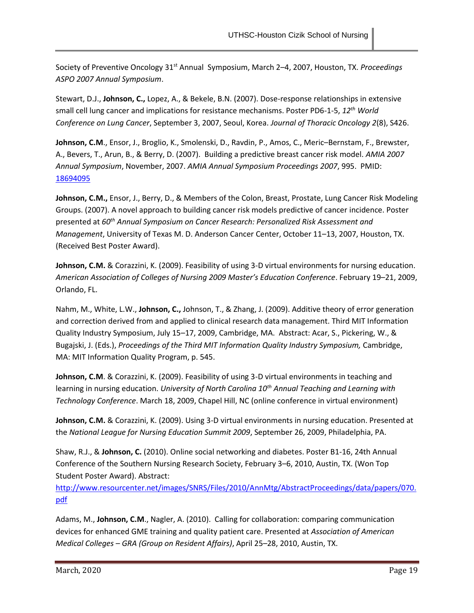Society of Preventive Oncology 31st Annual Symposium, March 2–4, 2007, Houston, TX. *Proceedings ASPO 2007 Annual Symposium*.

Stewart, D.J., **Johnson, C.,** Lopez, A., & Bekele, B.N. (2007). Dose-response relationships in extensive small cell lung cancer and implications for resistance mechanisms. Poster PD6-1-5, *12th World Conference on Lung Cancer*, September 3, 2007, Seoul, Korea. *Journal of Thoracic Oncology 2*(8), S426.

Johnson, C.M., Ensor, J., Broglio, K., Smolenski, D., Ravdin, P., Amos, C., Meric–Bernstam, F., Brewster, A., Bevers, T., Arun, B., & Berry, D. (2007). Building a predictive breast cancer risk model. *AMIA 2007 Annual Symposium*, November, 2007. *AMIA Annual Symposium Proceedings 2007*, 995. PMID: [18694095](http://www.ncbi.nlm.nih.gov/pubmed/18694095)

**Johnson, C.M.,** Ensor, J., Berry, D., & Members of the Colon, Breast, Prostate, Lung Cancer Risk Modeling Groups. (2007). A novel approach to building cancer risk models predictive of cancer incidence. Poster presented at *60th Annual Symposium on Cancer Research: Personalized Risk Assessment and Management*, University of Texas M. D. Anderson Cancer Center, October 11–13, 2007, Houston, TX. (Received Best Poster Award).

**Johnson, C.M.** & Corazzini, K. (2009). Feasibility of using 3-D virtual environments for nursing education. *American Association of Colleges of Nursing 2009 Master's Education Conference*. February 19–21, 2009, Orlando, FL.

Nahm, M., White, L.W., **Johnson, C.,** Johnson, T., & Zhang, J. (2009). Additive theory of error generation and correction derived from and applied to clinical research data management. Third MIT Information Quality Industry Symposium, July 15–17, 2009, Cambridge, MA. Abstract: Acar, S., Pickering, W., & Bugajski, J. (Eds.), *Proceedings of the Third MIT Information Quality Industry Symposium,* Cambridge, MA: MIT Information Quality Program, p. 545.

**Johnson, C.M**. & Corazzini, K. (2009). Feasibility of using 3-D virtual environments in teaching and learning in nursing education. *University of North Carolina 10th Annual Teaching and Learning with Technology Conference*. March 18, 2009, Chapel Hill, NC (online conference in virtual environment)

Johnson, C.M. & Corazzini, K. (2009). Using 3-D virtual environments in nursing education. Presented at the *National League for Nursing Education Summit 2009*, September 26, 2009, Philadelphia, PA.

Shaw, R.J., & **Johnson, C.** (2010). Online social networking and diabetes. Poster B1-16, 24th Annual Conference of the Southern Nursing Research Society, February 3–6, 2010, Austin, TX. (Won Top Student Poster Award). Abstract:

[http://www.resourcenter.net/images/SNRS/Files/2010/AnnMtg/AbstractProceedings/data/papers/070.](http://www.resourcenter.net/images/SNRS/Files/2010/AnnMtg/AbstractProceedings/data/papers/070.pdf) [pdf](http://www.resourcenter.net/images/SNRS/Files/2010/AnnMtg/AbstractProceedings/data/papers/070.pdf)

Adams, M., **Johnson, C.M**., Nagler, A. (2010). Calling for collaboration: comparing communication devices for enhanced GME training and quality patient care. Presented at *Association of American Medical Colleges – GRA (Group on Resident Affairs)*, April 25–28, 2010, Austin, TX.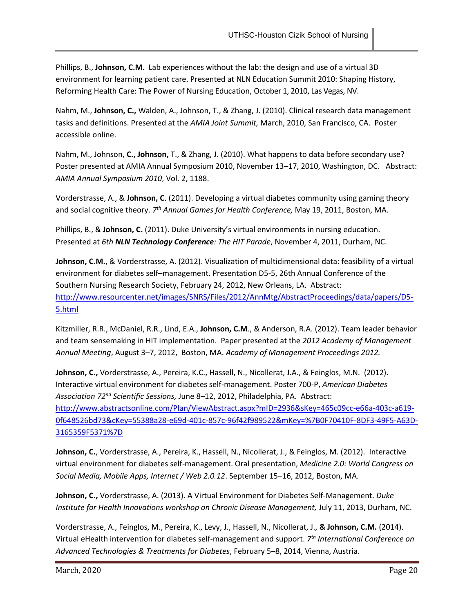Phillips, B., **Johnson, C.M**. Lab experiences without the lab: the design and use of a virtual 3D environment for learning patient care. Presented at NLN Education Summit 2010: Shaping History, Reforming Health Care: The Power of Nursing Education, October 1, 2010, Las Vegas, NV.

Nahm, M., **Johnson, C.,** Walden, A., Johnson, T., & Zhang, J. (2010). Clinical research data management tasks and definitions. Presented at the *AMIA Joint Summit,* March, 2010, San Francisco, CA. Poster accessible online.

Nahm, M., Johnson, **C., Johnson,** T., & Zhang, J. (2010). What happens to data before secondary use? Poster presented at AMIA Annual Symposium 2010, November 13–17, 2010, Washington, DC. Abstract: *AMIA Annual Symposium 2010*, Vol. 2, 1188.

Vorderstrasse, A., & **Johnson, C**. (2011). Developing a virtual diabetes community using gaming theory and social cognitive theory. *7 th Annual Games for Health Conference,* May 19, 2011, Boston, MA.

Phillips, B., & **Johnson, C.** (2011). Duke University's virtual environments in nursing education. Presented at *6th NLN Technology Conference: The HIT Parade*, November 4, 2011, Durham, NC.

**Johnson, C.M.**, & Vorderstrasse, A. (2012). Visualization of multidimensional data: feasibility of a virtual environment for diabetes self–management. Presentation D5-5, 26th Annual Conference of the Southern Nursing Research Society, February 24, 2012, New Orleans, LA. Abstract: [http://www.resourcenter.net/images/SNRS/Files/2012/AnnMtg/AbstractProceedings/data/papers/D5-](http://www.resourcenter.net/images/SNRS/Files/2012/AnnMtg/AbstractProceedings/data/papers/D5-5.html) [5.html](http://www.resourcenter.net/images/SNRS/Files/2012/AnnMtg/AbstractProceedings/data/papers/D5-5.html)

Kitzmiller, R.R., McDaniel, R.R., Lind, E.A., **Johnson, C.M**., & Anderson, R.A. (2012). Team leader behavior and team sensemaking in HIT implementation. Paper presented at the *2012 Academy of Management Annual Meeting*, August 3–7, 2012, Boston, MA. *Academy of Management Proceedings 2012.*

**Johnson, C.,** Vorderstrasse, A., Pereira, K.C., Hassell, N., Nicollerat, J.A., & Feinglos, M.N. (2012). Interactive virtual environment for diabetes self-management. Poster 700-P, *American Diabetes Association 72nd Scientific Sessions,* June 8–12, 2012, Philadelphia, PA. Abstract: [http://www.abstractsonline.com/Plan/ViewAbstract.aspx?mID=2936&sKey=465c09cc-e66a-403c-a619-](http://www.abstractsonline.com/Plan/ViewAbstract.aspx?mID=2936&sKey=465c09cc-e66a-403c-a619-0f648526bd73&cKey=55388a28-e69d-401c-857c-96f42f989522&mKey=%7B0F70410F-8DF3-49F5-A63D-3165359F5371%7D) [0f648526bd73&cKey=55388a28-e69d-401c-857c-96f42f989522&mKey=%7B0F70410F-8DF3-49F5-A63D-](http://www.abstractsonline.com/Plan/ViewAbstract.aspx?mID=2936&sKey=465c09cc-e66a-403c-a619-0f648526bd73&cKey=55388a28-e69d-401c-857c-96f42f989522&mKey=%7B0F70410F-8DF3-49F5-A63D-3165359F5371%7D)[3165359F5371%7D](http://www.abstractsonline.com/Plan/ViewAbstract.aspx?mID=2936&sKey=465c09cc-e66a-403c-a619-0f648526bd73&cKey=55388a28-e69d-401c-857c-96f42f989522&mKey=%7B0F70410F-8DF3-49F5-A63D-3165359F5371%7D)

**Johnson, C.**, Vorderstrasse, A., Pereira, K., Hassell, N., Nicollerat, J., & Feinglos, M. (2012). Interactive virtual environment for diabetes self-management. Oral presentation, *Medicine 2.0: World Congress on Social Media, Mobile Apps, Internet / Web 2.0.12*. September 15–16, 2012, Boston, MA.

**Johnson, C.,** Vorderstrasse, A. (2013). A Virtual Environment for Diabetes Self-Management. *Duke Institute for Health Innovations workshop on Chronic Disease Management, July 11, 2013, Durham, NC.* 

Vorderstrasse, A., Feinglos, M., Pereira, K., Levy, J., Hassell, N., Nicollerat, J., **& Johnson, C.M.** (2014). Virtual eHealth intervention for diabetes self-management and support. *7 th International Conference on Advanced Technologies & Treatments for Diabetes*, February 5–8, 2014, Vienna, Austria.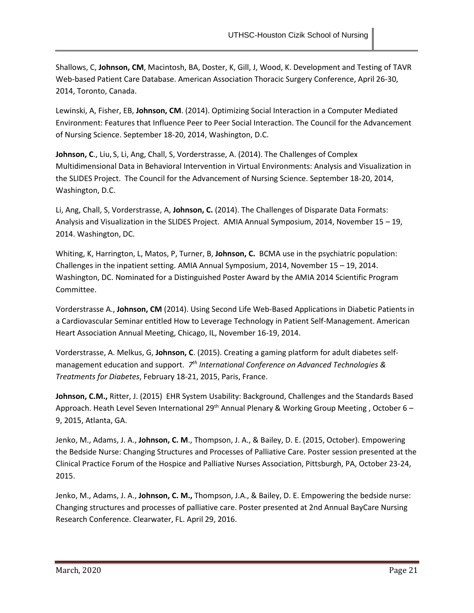Shallows, C, **Johnson, CM**, Macintosh, BA, Doster, K, Gill, J, Wood, K. Development and Testing of TAVR Web-based Patient Care Database. American Association Thoracic Surgery Conference, April 26-30, 2014, Toronto, Canada.

Lewinski, A, Fisher, EB, **Johnson, CM**. (2014). Optimizing Social Interaction in a Computer Mediated Environment: Features that Influence Peer to Peer Social Interaction. The Council for the Advancement of Nursing Science. September 18-20, 2014, Washington, D.C.

**Johnson, C**., Liu, S, Li, Ang, Chall, S, Vorderstrasse, A. (2014). The Challenges of Complex Multidimensional Data in Behavioral Intervention in Virtual Environments: Analysis and Visualization in the SLIDES Project. The Council for the Advancement of Nursing Science. September 18-20, 2014, Washington, D.C.

Li, Ang, Chall, S, Vorderstrasse, A, **Johnson, C.** (2014). The Challenges of Disparate Data Formats: Analysis and Visualization in the SLIDES Project. AMIA Annual Symposium, 2014, November 15 – 19, 2014. Washington, DC.

Whiting, K, Harrington, L, Matos, P, Turner, B, **Johnson, C.** BCMA use in the psychiatric population: Challenges in the inpatient setting. AMIA Annual Symposium, 2014, November 15 – 19, 2014. Washington, DC. Nominated for a Distinguished Poster Award by the AMIA 2014 Scientific Program Committee.

Vorderstrasse A., **Johnson, CM** (2014). Using Second Life Web-Based Applications in Diabetic Patients in a Cardiovascular Seminar entitled How to Leverage Technology in Patient Self-Management. American Heart Association Annual Meeting, Chicago, IL, November 16-19, 2014.

Vorderstrasse, A. Melkus, G, **Johnson, C**. (2015). Creating a gaming platform for adult diabetes selfmanagement education and support. 7<sup>th</sup> International Conference on Advanced Technologies & *Treatments for Diabetes*, February 18-21, 2015, Paris, France.

**Johnson, C.M.,** Ritter, J. (2015) EHR System Usability: Background, Challenges and the Standards Based Approach. Heath Level Seven International 29<sup>th</sup> Annual Plenary & Working Group Meeting, October 6 -9, 2015, Atlanta, GA.

Jenko, M., Adams, J. A., **Johnson, C. M**., Thompson, J. A., & Bailey, D. E. (2015, October). Empowering the Bedside Nurse: Changing Structures and Processes of Palliative Care*.* Poster session presented at the Clinical Practice Forum of the Hospice and Palliative Nurses Association, Pittsburgh, PA, October 23-24, 2015.

Jenko, M., Adams, J. A., **Johnson, C. M.,** Thompson, J.A., & Bailey, D. E. Empowering the bedside nurse: Changing structures and processes of palliative care. Poster presented at 2nd Annual BayCare Nursing Research Conference. Clearwater, FL. April 29, 2016.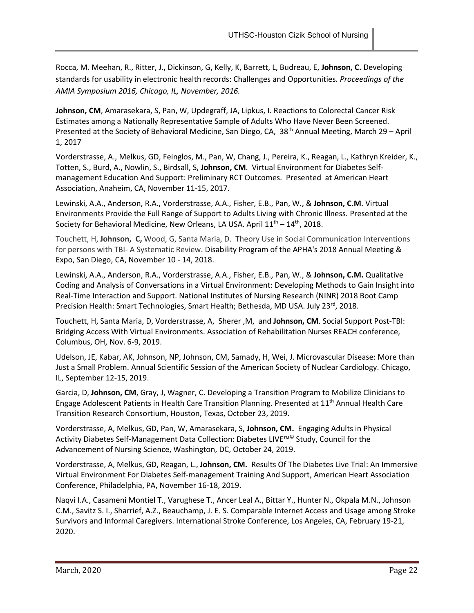Rocca, M. Meehan, R., Ritter, J., Dickinson, G, Kelly, K, Barrett, L, Budreau, E, **Johnson, C.** Developing standards for usability in electronic health records: Challenges and Opportunities. *Proceedings of the AMIA Symposium 2016, Chicago, IL, November, 2016.*

**Johnson, CM**, Amarasekara, S, Pan, W, Updegraff, JA, Lipkus, I. Reactions to Colorectal Cancer Risk Estimates among a Nationally Representative Sample of Adults Who Have Never Been Screened. Presented at the Society of Behavioral Medicine, San Diego, CA, 38<sup>th</sup> Annual Meeting, March 29 - April 1, 2017

Vorderstrasse, A., Melkus, GD, Feinglos, M., Pan, W, Chang, J., Pereira, K., Reagan, L., Kathryn Kreider, K., Totten, S., Burd, A., Nowlin, S., Birdsall, S, **Johnson, CM**. Virtual Environment for Diabetes Selfmanagement Education And Support: Preliminary RCT Outcomes. Presented at American Heart Association, Anaheim, CA, November 11-15, 2017.

Lewinski, A.A., Anderson, R.A., Vorderstrasse, A.A., Fisher, E.B., Pan, W., & **Johnson, C.M**. Virtual Environments Provide the Full Range of Support to Adults Living with Chronic Illness. Presented at the Society for Behavioral Medicine, New Orleans, LA USA. April  $11^{th} - 14^{th}$ , 2018.

Touchett, H, **Johnson, C,** Wood, G, Santa Maria, D. Theory Use in Social Communication Interventions for persons with TBI- A Systematic Review. Disability Program of the APHA's 2018 Annual Meeting & Expo, San Diego, CA, November 10 - 14, 2018.

Lewinski, A.A., Anderson, R.A., Vorderstrasse, A.A., Fisher, E.B., Pan, W., & **Johnson, C.M.** Qualitative Coding and Analysis of Conversations in a Virtual Environment: Developing Methods to Gain Insight into Real-Time Interaction and Support. National Institutes of Nursing Research (NINR) 2018 Boot Camp Precision Health: Smart Technologies, Smart Health; Bethesda, MD USA. July 23<sup>rd</sup>, 2018.

Touchett, H, Santa Maria, D, Vorderstrasse, A, Sherer ,M, and **Johnson, CM**. Social Support Post-TBI: Bridging Access With Virtual Environments. Association of Rehabilitation Nurses REACH conference, Columbus, OH, Nov. 6-9, 2019.

Udelson, JE, Kabar, AK, Johnson, NP, Johnson, CM, Samady, H, Wei, J. Microvascular Disease: More than Just a Small Problem. Annual Scientific Session of the American Society of Nuclear Cardiology. Chicago, IL, September 12-15, 2019.

Garcia, D, **Johnson, CM**, Gray, J, Wagner, C. Developing a Transition Program to Mobilize Clinicians to Engage Adolescent Patients in Health Care Transition Planning. Presented at 11<sup>th</sup> Annual Health Care Transition Research Consortium, Houston, Texas, October 23, 2019.

Vorderstrasse, A, Melkus, GD, Pan, W, Amarasekara, S, **Johnson, CM.** Engaging Adults in Physical Activity Diabetes Self-Management Data Collection: Diabetes LIVE™© Study, Council for the Advancement of Nursing Science, Washington, DC, October 24, 2019.

Vorderstrasse, A, Melkus, GD, Reagan, L., **Johnson, CM.** Results Of The Diabetes Live Trial: An Immersive Virtual Environment For Diabetes Self-management Training And Support, American Heart Association Conference, Philadelphia, PA, November 16-18, 2019.

Naqvi I.A., Casameni Montiel T., Varughese T., Ancer Leal A., Bittar Y., Hunter N., Okpala M.N., Johnson C.M., Savitz S. I., Sharrief, A.Z., Beauchamp, J. E. S. Comparable Internet Access and Usage among Stroke Survivors and Informal Caregivers. International Stroke Conference, Los Angeles, CA, February 19-21, 2020.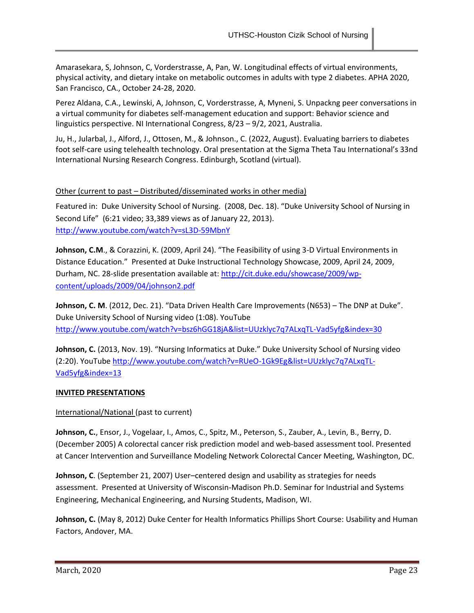Amarasekara, S, Johnson, C, Vorderstrasse, A, Pan, W. Longitudinal effects of virtual environments, physical activity, and dietary intake on metabolic outcomes in adults with type 2 diabetes. APHA 2020, San Francisco, CA., October 24-28, 2020.

Perez Aldana, C.A., Lewinski, A, Johnson, C, Vorderstrasse, A, Myneni, S. Unpackng peer conversations in a virtual community for diabetes self-management education and support: Behavior science and linguistics perspective. NI International Congress, 8/23 – 9/2, 2021, Australia.

Ju, H., Jularbal, J., Alford, J., Ottosen, M., & Johnson., C. (2022, August). Evaluating barriers to diabetes foot self-care using telehealth technology. Oral presentation at the Sigma Theta Tau International's 33nd International Nursing Research Congress. Edinburgh, Scotland (virtual).

## Other (current to past – Distributed/disseminated works in other media)

Featured in: Duke University School of Nursing. (2008, Dec. 18). "Duke University School of Nursing in Second Life" (6:21 video; 33,389 views as of January 22, 2013). <http://www.youtube.com/watch?v=sL3D-59MbnY>

**Johnson, C.M**., & Corazzini, K. (2009, April 24). "The Feasibility of using 3-D Virtual Environments in Distance Education." Presented at Duke Instructional Technology Showcase, 2009, April 24, 2009, Durham, NC. 28-slide presentation available at[: http://cit.duke.edu/showcase/2009/wp](http://cit.duke.edu/showcase/2009/wp-content/uploads/2009/04/johnson2.pdf)[content/uploads/2009/04/johnson2.pdf](http://cit.duke.edu/showcase/2009/wp-content/uploads/2009/04/johnson2.pdf)

**Johnson, C. M**. (2012, Dec. 21). "Data Driven Health Care Improvements (N653) – The DNP at Duke". Duke University School of Nursing video (1:08). YouTube <http://www.youtube.com/watch?v=bsz6hGG18jA&list=UUzklyc7q7ALxqTL-Vad5yfg&index=30>

**Johnson, C.** (2013, Nov. 19). "Nursing Informatics at Duke." Duke University School of Nursing video (2:20). YouTub[e http://www.youtube.com/watch?v=RUeO-1Gk9Eg&list=UUzklyc7q7ALxqTL-](http://www.youtube.com/watch?v=RUeO-1Gk9Eg&list=UUzklyc7q7ALxqTL-Vad5yfg&index=13)[Vad5yfg&index=13](http://www.youtube.com/watch?v=RUeO-1Gk9Eg&list=UUzklyc7q7ALxqTL-Vad5yfg&index=13)

## **INVITED PRESENTATIONS**

## International/National (past to current)

**Johnson, C.**, Ensor, J., Vogelaar, I., Amos, C., Spitz, M., Peterson, S., Zauber, A., Levin, B., Berry, D. (December 2005) A colorectal cancer risk prediction model and web-based assessment tool. Presented at Cancer Intervention and Surveillance Modeling Network Colorectal Cancer Meeting, Washington, DC.

**Johnson, C**. (September 21, 2007) User–centered design and usability as strategies for needs assessment. Presented at University of Wisconsin-Madison Ph.D. Seminar for Industrial and Systems Engineering, Mechanical Engineering, and Nursing Students, Madison, WI.

**Johnson, C.** (May 8, 2012) Duke Center for Health Informatics Phillips Short Course: Usability and Human Factors, Andover, MA.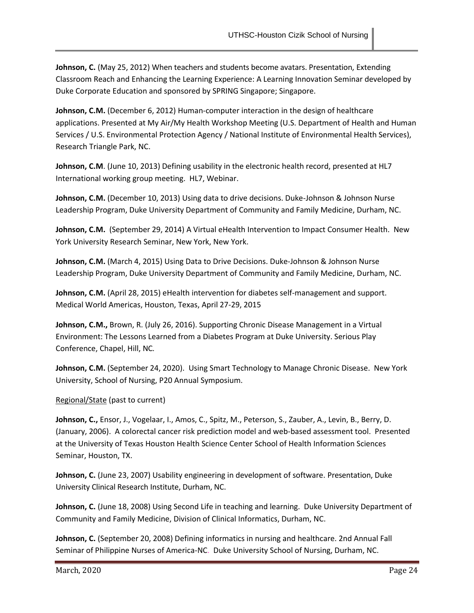**Johnson, C.** (May 25, 2012) When teachers and students become avatars. Presentation, Extending Classroom Reach and Enhancing the Learning Experience: A Learning Innovation Seminar developed by Duke Corporate Education and sponsored by SPRING Singapore; Singapore.

**Johnson, C.M.** (December 6, 2012) Human-computer interaction in the design of healthcare applications. Presented at My Air/My Health Workshop Meeting (U.S. Department of Health and Human Services / U.S. Environmental Protection Agency / National Institute of Environmental Health Services), Research Triangle Park, NC.

**Johnson, C.M**. (June 10, 2013) Defining usability in the electronic health record, presented at HL7 International working group meeting. HL7, Webinar.

**Johnson, C.M.** (December 10, 2013) Using data to drive decisions. Duke-Johnson & Johnson Nurse Leadership Program, Duke University Department of Community and Family Medicine, Durham, NC.

**Johnson, C.M.** (September 29, 2014) A Virtual eHealth Intervention to Impact Consumer Health. New York University Research Seminar, New York, New York.

**Johnson, C.M.** (March 4, 2015) Using Data to Drive Decisions. Duke-Johnson & Johnson Nurse Leadership Program, Duke University Department of Community and Family Medicine, Durham, NC.

**Johnson, C.M.** (April 28, 2015) eHealth intervention for diabetes self-management and support. Medical World Americas, Houston, Texas, April 27-29, 2015

**Johnson, C.M.,** Brown, R. (July 26, 2016). Supporting Chronic Disease Management in a Virtual Environment: The Lessons Learned from a Diabetes Program at Duke University. Serious Play Conference, Chapel, Hill, NC*.*

**Johnson, C.M.** (September 24, 2020). Using Smart Technology to Manage Chronic Disease. New York University, School of Nursing, P20 Annual Symposium.

## Regional/State (past to current)

**Johnson, C.,** Ensor, J., Vogelaar, I., Amos, C., Spitz, M., Peterson, S., Zauber, A., Levin, B., Berry, D. (January, 2006). A colorectal cancer risk prediction model and web-based assessment tool. Presented at the University of Texas Houston Health Science Center School of Health Information Sciences Seminar, Houston, TX.

**Johnson, C.** (June 23, 2007) Usability engineering in development of software. Presentation, Duke University Clinical Research Institute, Durham, NC.

**Johnson, C.** (June 18, 2008) Using Second Life in teaching and learning. Duke University Department of Community and Family Medicine, Division of Clinical Informatics, Durham, NC.

**Johnson, C.** (September 20, 2008) Defining informatics in nursing and healthcare. 2nd Annual Fall Seminar of Philippine Nurses of America-NC. Duke University School of Nursing, Durham, NC.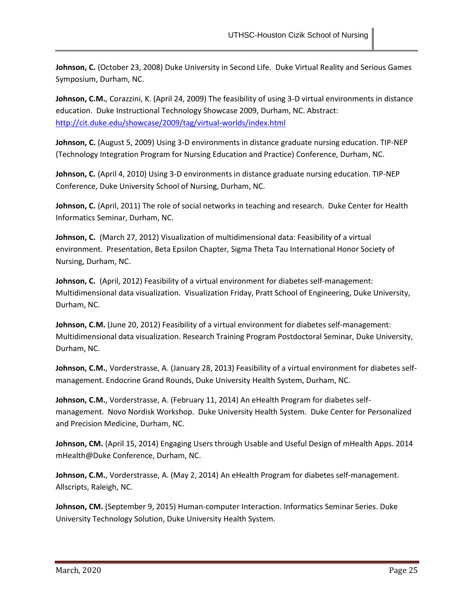**Johnson, C.** (October 23, 2008) Duke University in Second Life. Duke Virtual Reality and Serious Games Symposium, Durham, NC.

**Johnson, C.M.**, Corazzini, K. (April 24, 2009) The feasibility of using 3-D virtual environments in distance education. Duke Instructional Technology Showcase 2009, Durham, NC. Abstract: <http://cit.duke.edu/showcase/2009/tag/virtual-worlds/index.html>

**Johnson, C.** (August 5, 2009) Using 3-D environments in distance graduate nursing education. TIP-NEP (Technology Integration Program for Nursing Education and Practice) Conference, Durham, NC.

**Johnson, C.** (April 4, 2010) Using 3-D environments in distance graduate nursing education. TIP-NEP Conference, Duke University School of Nursing, Durham, NC.

**Johnson, C.** (April, 2011) The role of social networks in teaching and research. Duke Center for Health Informatics Seminar, Durham, NC.

**Johnson, C.** (March 27, 2012) Visualization of multidimensional data: Feasibility of a virtual environment. Presentation, Beta Epsilon Chapter, Sigma Theta Tau International Honor Society of Nursing, Durham, NC.

**Johnson, C.** (April, 2012) Feasibility of a virtual environment for diabetes self-management: Multidimensional data visualization. Visualization Friday, Pratt School of Engineering, Duke University, Durham, NC.

**Johnson, C.M.** (June 20, 2012) Feasibility of a virtual environment for diabetes self-management: Multidimensional data visualization. Research Training Program Postdoctoral Seminar, Duke University, Durham, NC.

**Johnson, C.M.**, Vorderstrasse, A. (January 28, 2013) Feasibility of a virtual environment for diabetes selfmanagement. Endocrine Grand Rounds, Duke University Health System, Durham, NC.

**Johnson, C.M.**, Vorderstrasse, A. (February 11, 2014) An eHealth Program for diabetes selfmanagement. Novo Nordisk Workshop. Duke University Health System. Duke Center for Personalized and Precision Medicine, Durham, NC.

**Johnson, CM.** (April 15, 2014) Engaging Users through Usable and Useful Design of mHealth Apps. 2014 mHealth@Duke Conference, Durham, NC.

**Johnson, C.M.**, Vorderstrasse, A. (May 2, 2014) An eHealth Program for diabetes self-management. Allscripts, Raleigh, NC.

**Johnson, CM.** (September 9, 2015) Human-computer Interaction. Informatics Seminar Series. Duke University Technology Solution, Duke University Health System.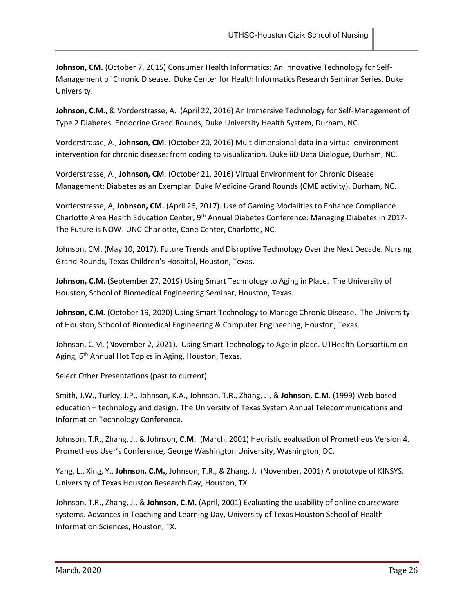**Johnson, CM.** (October 7, 2015) Consumer Health Informatics: An Innovative Technology for Self-Management of Chronic Disease. Duke Center for Health Informatics Research Seminar Series, Duke University.

**Johnson, C.M.**, & Vorderstrasse, A. (April 22, 2016) An Immersive Technology for Self-Management of Type 2 Diabetes. Endocrine Grand Rounds, Duke University Health System, Durham, NC.

Vorderstrasse, A., **Johnson, CM**. (October 20, 2016) Multidimensional data in a virtual environment intervention for chronic disease: from coding to visualization. Duke iiD Data Dialogue, Durham, NC.

Vorderstrasse, A., **Johnson, CM**. (October 21, 2016) Virtual Environment for Chronic Disease Management: Diabetes as an Exemplar. Duke Medicine Grand Rounds (CME activity), Durham, NC.

Vorderstrasse, A, **Johnson, CM.** (April 26, 2017). Use of Gaming Modalities to Enhance Compliance. Charlotte Area Health Education Center, 9th Annual Diabetes Conference: Managing Diabetes in 2017- The Future is NOW! UNC-Charlotte, Cone Center, Charlotte, NC.

Johnson, CM. (May 10, 2017). Future Trends and Disruptive Technology Over the Next Decade. Nursing Grand Rounds, Texas Children's Hospital, Houston, Texas.

**Johnson, C.M.** (September 27, 2019) Using Smart Technology to Aging in Place. The University of Houston, School of Biomedical Engineering Seminar, Houston, Texas.

**Johnson, C.M.** (October 19, 2020) Using Smart Technology to Manage Chronic Disease. The University of Houston, School of Biomedical Engineering & Computer Engineering, Houston, Texas.

Johnson, C.M. (November 2, 2021). Using Smart Technology to Age in place. UTHealth Consortium on Aging, 6<sup>th</sup> Annual Hot Topics in Aging, Houston, Texas.

## Select Other Presentations (past to current)

Smith, J.W., Turley, J.P., Johnson, K.A., Johnson, T.R., Zhang, J., & **Johnson, C.M**. (1999) Web-based education – technology and design. The University of Texas System Annual Telecommunications and Information Technology Conference.

Johnson, T.R., Zhang, J., & Johnson, **C.M.** (March, 2001) Heuristic evaluation of Prometheus Version 4. Prometheus User's Conference, George Washington University, Washington, DC.

Yang, L., Xing, Y., **Johnson, C.M.**, Johnson, T.R., & Zhang, J. (November, 2001) A prototype of KINSYS. University of Texas Houston Research Day, Houston, TX.

Johnson, T.R., Zhang, J., & **Johnson, C.M.** (April, 2001) Evaluating the usability of online courseware systems. Advances in Teaching and Learning Day, University of Texas Houston School of Health Information Sciences, Houston, TX.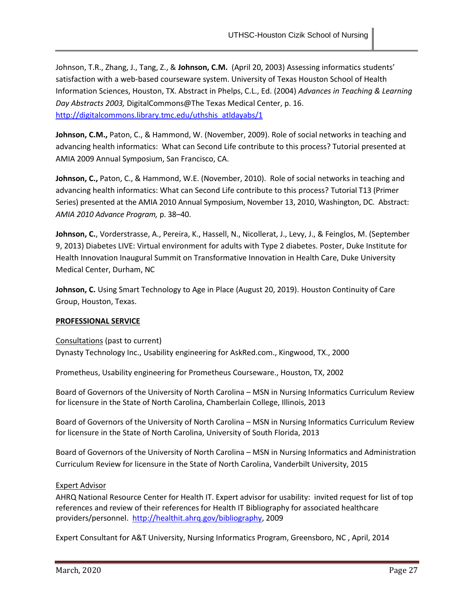Johnson, T.R., Zhang, J., Tang, Z., & **Johnson, C.M.** (April 20, 2003) Assessing informatics students' satisfaction with a web-based courseware system. University of Texas Houston School of Health Information Sciences, Houston, TX. Abstract in Phelps, C.L., Ed. (2004) *Advances in Teaching & Learning Day Abstracts 2003,* DigitalCommons@The Texas Medical Center, p. 16. [http://digitalcommons.library.tmc.edu/uthshis\\_atldayabs/1](http://digitalcommons.library.tmc.edu/uthshis_atldayabs/1)

**Johnson, C.M.,** Paton, C., & Hammond, W. (November, 2009). Role of social networks in teaching and advancing health informatics: What can Second Life contribute to this process? Tutorial presented at AMIA 2009 Annual Symposium, San Francisco, CA.

**Johnson, C.,** Paton, C., & Hammond, W.E. (November, 2010). Role of social networks in teaching and advancing health informatics: What can Second Life contribute to this process? Tutorial T13 (Primer Series) presented at the AMIA 2010 Annual Symposium, November 13, 2010, Washington, DC. Abstract: *AMIA 2010 Advance Program,* p. 38–40.

**Johnson, C.**, Vorderstrasse, A., Pereira, K., Hassell, N., Nicollerat, J., Levy, J., & Feinglos, M. (September 9, 2013) Diabetes LIVE: Virtual environment for adults with Type 2 diabetes. Poster, Duke Institute for Health Innovation Inaugural Summit on Transformative Innovation in Health Care, Duke University Medical Center, Durham, NC

**Johnson, C.** Using Smart Technology to Age in Place (August 20, 2019). Houston Continuity of Care Group, Houston, Texas.

## **PROFESSIONAL SERVICE**

Consultations (past to current) Dynasty Technology Inc., Usability engineering for AskRed.com., Kingwood, TX., 2000

Prometheus, Usability engineering for Prometheus Courseware., Houston, TX, 2002

Board of Governors of the University of North Carolina – MSN in Nursing Informatics Curriculum Review for licensure in the State of North Carolina, Chamberlain College, Illinois, 2013

Board of Governors of the University of North Carolina – MSN in Nursing Informatics Curriculum Review for licensure in the State of North Carolina, University of South Florida, 2013

Board of Governors of the University of North Carolina – MSN in Nursing Informatics and Administration Curriculum Review for licensure in the State of North Carolina, Vanderbilt University, 2015

## Expert Advisor

AHRQ National Resource Center for Health IT. Expert advisor for usability: invited request for list of top references and review of their references for Health IT Bibliography for associated healthcare providers/personnel. [http://healthit.ahrq.gov/bibliography,](http://healthit.ahrq.gov/bibliography) 2009

Expert Consultant for A&T University, Nursing Informatics Program, Greensboro, NC , April, 2014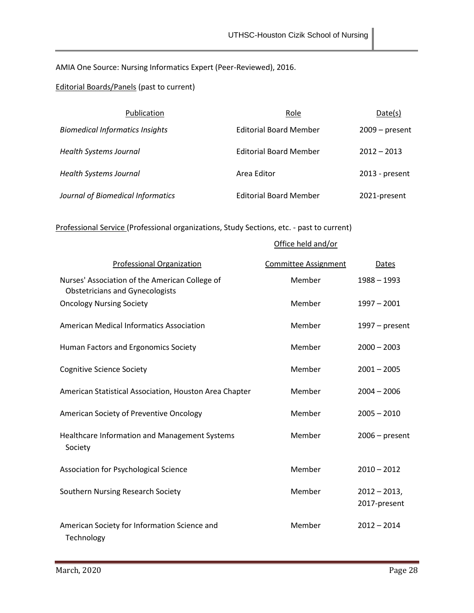# AMIA One Source: Nursing Informatics Expert (Peer-Reviewed), 2016.

## Editorial Boards/Panels (past to current)

| Publication                            | Role                          | Date(s)          |
|----------------------------------------|-------------------------------|------------------|
| <b>Biomedical Informatics Insights</b> | <b>Editorial Board Member</b> | $2009 - present$ |
| <b>Health Systems Journal</b>          | <b>Editorial Board Member</b> | $2012 - 2013$    |
| <b>Health Systems Journal</b>          | Area Editor                   | 2013 - present   |
| Journal of Biomedical Informatics      | <b>Editorial Board Member</b> | 2021-present     |

# Professional Service (Professional organizations, Study Sections, etc. - past to current)

## Office held and/or

| <b>Professional Organization</b>                                                         | <b>Committee Assignment</b> | Dates                           |
|------------------------------------------------------------------------------------------|-----------------------------|---------------------------------|
| Nurses' Association of the American College of<br><b>Obstetricians and Gynecologists</b> | Member                      | $1988 - 1993$                   |
| <b>Oncology Nursing Society</b>                                                          | Member                      | $1997 - 2001$                   |
| <b>American Medical Informatics Association</b>                                          | Member                      | $1997$ – present                |
| Human Factors and Ergonomics Society                                                     | Member                      | $2000 - 2003$                   |
| <b>Cognitive Science Society</b>                                                         | Member                      | $2001 - 2005$                   |
| American Statistical Association, Houston Area Chapter                                   | Member                      | $2004 - 2006$                   |
| American Society of Preventive Oncology                                                  | Member                      | $2005 - 2010$                   |
| Healthcare Information and Management Systems<br>Society                                 | Member                      | $2006$ – present                |
| Association for Psychological Science                                                    | Member                      | $2010 - 2012$                   |
| Southern Nursing Research Society                                                        | Member                      | $2012 - 2013$ ,<br>2017-present |
| American Society for Information Science and<br>Technology                               | Member                      | $2012 - 2014$                   |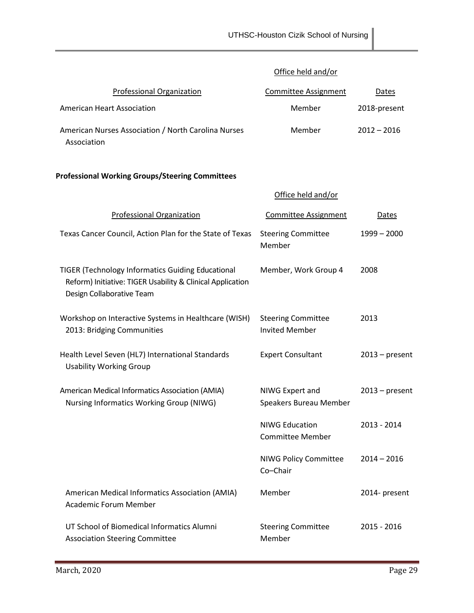## Office held and/or

| Professional Organization                                          | Committee Assignment | Dates         |
|--------------------------------------------------------------------|----------------------|---------------|
| American Heart Association                                         | Member               | 2018-present  |
| American Nurses Association / North Carolina Nurses<br>Association | Member               | $2012 - 2016$ |

# **Professional Working Groups/Steering Committees**

|                                                                                                                                                     | Office held and/or                                 |                  |
|-----------------------------------------------------------------------------------------------------------------------------------------------------|----------------------------------------------------|------------------|
| <b>Professional Organization</b>                                                                                                                    | <b>Committee Assignment</b>                        | <b>Dates</b>     |
| Texas Cancer Council, Action Plan for the State of Texas                                                                                            | <b>Steering Committee</b><br>Member                | $1999 - 2000$    |
| <b>TIGER (Technology Informatics Guiding Educational</b><br>Reform) Initiative: TIGER Usability & Clinical Application<br>Design Collaborative Team | Member, Work Group 4                               | 2008             |
| Workshop on Interactive Systems in Healthcare (WISH)<br>2013: Bridging Communities                                                                  | <b>Steering Committee</b><br><b>Invited Member</b> | 2013             |
| Health Level Seven (HL7) International Standards<br><b>Usability Working Group</b>                                                                  | <b>Expert Consultant</b>                           | $2013$ – present |
| American Medical Informatics Association (AMIA)<br>Nursing Informatics Working Group (NIWG)                                                         | NIWG Expert and<br>Speakers Bureau Member          | $2013$ – present |
|                                                                                                                                                     | <b>NIWG Education</b><br><b>Committee Member</b>   | 2013 - 2014      |
|                                                                                                                                                     | <b>NIWG Policy Committee</b><br>Co-Chair           | $2014 - 2016$    |
| American Medical Informatics Association (AMIA)<br><b>Academic Forum Member</b>                                                                     | Member                                             | 2014- present    |
| UT School of Biomedical Informatics Alumni<br><b>Association Steering Committee</b>                                                                 | <b>Steering Committee</b><br>Member                | 2015 - 2016      |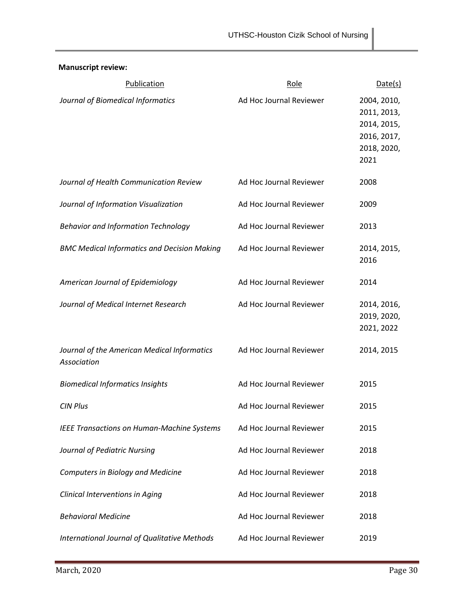**Manuscript review:**

| Publication                                                | Role                    | Date(s)                                                                         |
|------------------------------------------------------------|-------------------------|---------------------------------------------------------------------------------|
| Journal of Biomedical Informatics                          | Ad Hoc Journal Reviewer | 2004, 2010,<br>2011, 2013,<br>2014, 2015,<br>2016, 2017,<br>2018, 2020,<br>2021 |
| Journal of Health Communication Review                     | Ad Hoc Journal Reviewer | 2008                                                                            |
| Journal of Information Visualization                       | Ad Hoc Journal Reviewer | 2009                                                                            |
| <b>Behavior and Information Technology</b>                 | Ad Hoc Journal Reviewer | 2013                                                                            |
| <b>BMC Medical Informatics and Decision Making</b>         | Ad Hoc Journal Reviewer | 2014, 2015,<br>2016                                                             |
| American Journal of Epidemiology                           | Ad Hoc Journal Reviewer | 2014                                                                            |
| Journal of Medical Internet Research                       | Ad Hoc Journal Reviewer | 2014, 2016,<br>2019, 2020,<br>2021, 2022                                        |
| Journal of the American Medical Informatics<br>Association | Ad Hoc Journal Reviewer | 2014, 2015                                                                      |
| <b>Biomedical Informatics Insights</b>                     | Ad Hoc Journal Reviewer | 2015                                                                            |
| <b>CIN Plus</b>                                            | Ad Hoc Journal Reviewer | 2015                                                                            |
| <b>IEEE Transactions on Human-Machine Systems</b>          | Ad Hoc Journal Reviewer | 2015                                                                            |
| Journal of Pediatric Nursing                               | Ad Hoc Journal Reviewer | 2018                                                                            |
| Computers in Biology and Medicine                          | Ad Hoc Journal Reviewer | 2018                                                                            |
| Clinical Interventions in Aging                            | Ad Hoc Journal Reviewer | 2018                                                                            |
| <b>Behavioral Medicine</b>                                 | Ad Hoc Journal Reviewer | 2018                                                                            |
| International Journal of Qualitative Methods               | Ad Hoc Journal Reviewer | 2019                                                                            |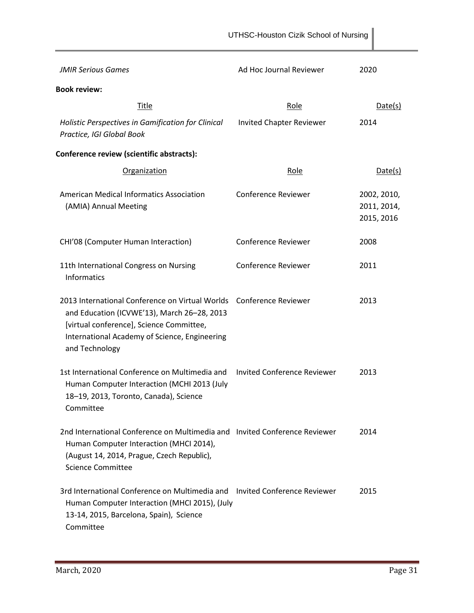|                                                                                                                                                                                                                                    | UTHSC-Houston Cizik School of Nursing |                                          |
|------------------------------------------------------------------------------------------------------------------------------------------------------------------------------------------------------------------------------------|---------------------------------------|------------------------------------------|
| <b>JMIR Serious Games</b>                                                                                                                                                                                                          | Ad Hoc Journal Reviewer               | 2020                                     |
| <b>Book review:</b>                                                                                                                                                                                                                |                                       |                                          |
| <b>Title</b>                                                                                                                                                                                                                       | Role                                  | Date(s)                                  |
| Holistic Perspectives in Gamification for Clinical<br>Practice, IGI Global Book                                                                                                                                                    | <b>Invited Chapter Reviewer</b>       | 2014                                     |
| Conference review (scientific abstracts):                                                                                                                                                                                          |                                       |                                          |
| <b>Organization</b>                                                                                                                                                                                                                | Role                                  | Date(s)                                  |
| <b>American Medical Informatics Association</b><br>(AMIA) Annual Meeting                                                                                                                                                           | <b>Conference Reviewer</b>            | 2002, 2010,<br>2011, 2014,<br>2015, 2016 |
| CHI'08 (Computer Human Interaction)                                                                                                                                                                                                | <b>Conference Reviewer</b>            | 2008                                     |
| 11th International Congress on Nursing<br><b>Informatics</b>                                                                                                                                                                       | <b>Conference Reviewer</b>            | 2011                                     |
| 2013 International Conference on Virtual Worlds  Conference Reviewer<br>and Education (ICVWE'13), March 26-28, 2013<br>[virtual conference], Science Committee,<br>International Academy of Science, Engineering<br>and Technology |                                       | 2013                                     |
| 1st International Conference on Multimedia and<br>Human Computer Interaction (MCHI 2013 (July<br>18-19, 2013, Toronto, Canada), Science<br>Committee                                                                               | Invited Conference Reviewer           | 2013                                     |
| 2nd International Conference on Multimedia and Invited Conference Reviewer<br>Human Computer Interaction (MHCI 2014),<br>(August 14, 2014, Prague, Czech Republic),<br><b>Science Committee</b>                                    |                                       | 2014                                     |
| 3rd International Conference on Multimedia and Invited Conference Reviewer<br>Human Computer Interaction (MHCI 2015), (July<br>13-14, 2015, Barcelona, Spain), Science<br>Committee                                                |                                       | 2015                                     |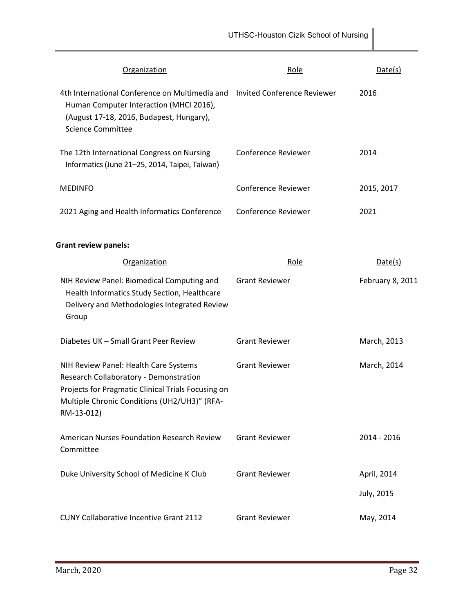| <b>Organization</b>                                                                                                                                                                                 | <u>Role</u>                | Date(s)          |
|-----------------------------------------------------------------------------------------------------------------------------------------------------------------------------------------------------|----------------------------|------------------|
| 4th International Conference on Multimedia and Invited Conference Reviewer<br>Human Computer Interaction (MHCI 2016),<br>(August 17-18, 2016, Budapest, Hungary),<br><b>Science Committee</b>       |                            | 2016             |
| The 12th International Congress on Nursing<br>Informatics (June 21-25, 2014, Taipei, Taiwan)                                                                                                        | <b>Conference Reviewer</b> | 2014             |
| <b>MEDINFO</b>                                                                                                                                                                                      | <b>Conference Reviewer</b> | 2015, 2017       |
| 2021 Aging and Health Informatics Conference                                                                                                                                                        | <b>Conference Reviewer</b> | 2021             |
| <b>Grant review panels:</b>                                                                                                                                                                         |                            |                  |
| Organization                                                                                                                                                                                        | Role                       | Date(s)          |
| NIH Review Panel: Biomedical Computing and<br>Health Informatics Study Section, Healthcare<br>Delivery and Methodologies Integrated Review<br>Group                                                 | <b>Grant Reviewer</b>      | February 8, 2011 |
| Diabetes UK - Small Grant Peer Review                                                                                                                                                               | <b>Grant Reviewer</b>      | March, 2013      |
| NIH Review Panel: Health Care Systems<br>Research Collaboratory - Demonstration<br>Projects for Pragmatic Clinical Trials Focusing on<br>Multiple Chronic Conditions (UH2/UH3)" (RFA-<br>RM-13-012) | <b>Grant Reviewer</b>      | March, 2014      |
| <b>American Nurses Foundation Research Review</b><br>Committee                                                                                                                                      | <b>Grant Reviewer</b>      | 2014 - 2016      |
| Duke University School of Medicine K Club                                                                                                                                                           | <b>Grant Reviewer</b>      | April, 2014      |
|                                                                                                                                                                                                     |                            | July, 2015       |
| <b>CUNY Collaborative Incentive Grant 2112</b>                                                                                                                                                      | <b>Grant Reviewer</b>      | May, 2014        |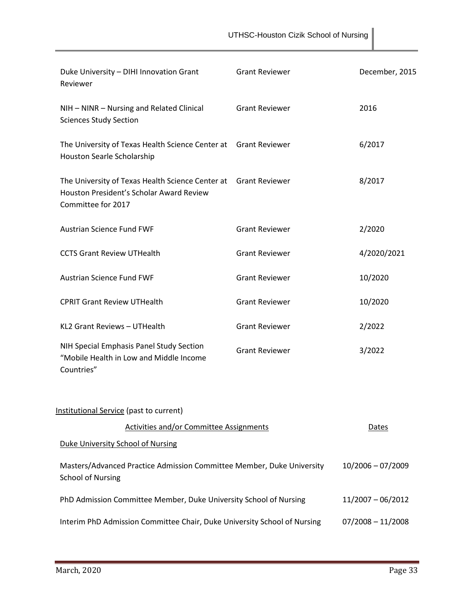| Duke University - DIHI Innovation Grant<br>Reviewer                                                                               | <b>Grant Reviewer</b> | December, 2015      |
|-----------------------------------------------------------------------------------------------------------------------------------|-----------------------|---------------------|
| NIH - NINR - Nursing and Related Clinical<br><b>Sciences Study Section</b>                                                        | <b>Grant Reviewer</b> | 2016                |
| The University of Texas Health Science Center at Grant Reviewer<br>Houston Searle Scholarship                                     |                       | 6/2017              |
| The University of Texas Health Science Center at Grant Reviewer<br>Houston President's Scholar Award Review<br>Committee for 2017 |                       | 8/2017              |
| <b>Austrian Science Fund FWF</b>                                                                                                  | <b>Grant Reviewer</b> | 2/2020              |
| <b>CCTS Grant Review UTHealth</b>                                                                                                 | <b>Grant Reviewer</b> | 4/2020/2021         |
| <b>Austrian Science Fund FWF</b>                                                                                                  | <b>Grant Reviewer</b> | 10/2020             |
| <b>CPRIT Grant Review UTHealth</b>                                                                                                | <b>Grant Reviewer</b> | 10/2020             |
| KL2 Grant Reviews - UTHealth                                                                                                      | <b>Grant Reviewer</b> | 2/2022              |
| NIH Special Emphasis Panel Study Section<br>"Mobile Health in Low and Middle Income<br>Countries"                                 | <b>Grant Reviewer</b> | 3/2022              |
| Institutional Service (past to current)                                                                                           |                       |                     |
| <b>Activities and/or Committee Assignments</b>                                                                                    |                       | Dates               |
| <b>Duke University School of Nursing</b>                                                                                          |                       |                     |
| Masters/Advanced Practice Admission Committee Member, Duke University<br><b>School of Nursing</b>                                 |                       | $10/2006 - 07/2009$ |
| PhD Admission Committee Member, Duke University School of Nursing                                                                 |                       | $11/2007 - 06/2012$ |
| Interim PhD Admission Committee Chair, Duke University School of Nursing                                                          |                       | $07/2008 - 11/2008$ |

UTHSC-Houston Cizik School of Nursing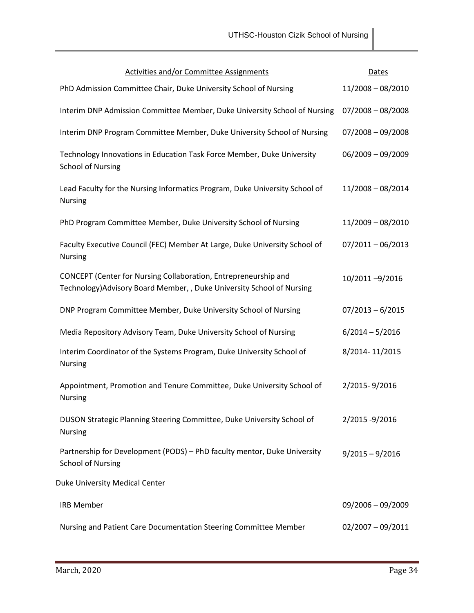| <b>Activities and/or Committee Assignments</b>                                                                                            | <b>Dates</b>        |
|-------------------------------------------------------------------------------------------------------------------------------------------|---------------------|
| PhD Admission Committee Chair, Duke University School of Nursing                                                                          | $11/2008 - 08/2010$ |
| Interim DNP Admission Committee Member, Duke University School of Nursing                                                                 | $07/2008 - 08/2008$ |
| Interim DNP Program Committee Member, Duke University School of Nursing                                                                   | $07/2008 - 09/2008$ |
| Technology Innovations in Education Task Force Member, Duke University<br><b>School of Nursing</b>                                        | $06/2009 - 09/2009$ |
| Lead Faculty for the Nursing Informatics Program, Duke University School of<br><b>Nursing</b>                                             | $11/2008 - 08/2014$ |
| PhD Program Committee Member, Duke University School of Nursing                                                                           | 11/2009 - 08/2010   |
| Faculty Executive Council (FEC) Member At Large, Duke University School of<br><b>Nursing</b>                                              | $07/2011 - 06/2013$ |
| CONCEPT (Center for Nursing Collaboration, Entrepreneurship and<br>Technology) Advisory Board Member, , Duke University School of Nursing | 10/2011-9/2016      |
| DNP Program Committee Member, Duke University School of Nursing                                                                           | $07/2013 - 6/2015$  |
| Media Repository Advisory Team, Duke University School of Nursing                                                                         | $6/2014 - 5/2016$   |
| Interim Coordinator of the Systems Program, Duke University School of<br><b>Nursing</b>                                                   | 8/2014-11/2015      |
| Appointment, Promotion and Tenure Committee, Duke University School of<br><b>Nursing</b>                                                  | 2/2015-9/2016       |
| DUSON Strategic Planning Steering Committee, Duke University School of<br><b>Nursing</b>                                                  | 2/2015 -9/2016      |
| Partnership for Development (PODS) - PhD faculty mentor, Duke University<br><b>School of Nursing</b>                                      | $9/2015 - 9/2016$   |
| <b>Duke University Medical Center</b>                                                                                                     |                     |
| <b>IRB Member</b>                                                                                                                         | $09/2006 - 09/2009$ |
| Nursing and Patient Care Documentation Steering Committee Member                                                                          | $02/2007 - 09/2011$ |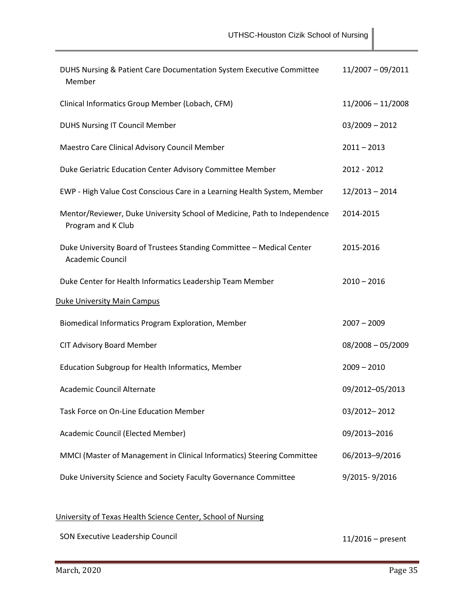| DUHS Nursing & Patient Care Documentation System Executive Committee<br>Member                   | $11/2007 - 09/2011$ |  |  |  |
|--------------------------------------------------------------------------------------------------|---------------------|--|--|--|
| Clinical Informatics Group Member (Lobach, CFM)                                                  | $11/2006 - 11/2008$ |  |  |  |
| <b>DUHS Nursing IT Council Member</b>                                                            | $03/2009 - 2012$    |  |  |  |
| Maestro Care Clinical Advisory Council Member                                                    | $2011 - 2013$       |  |  |  |
| Duke Geriatric Education Center Advisory Committee Member                                        | 2012 - 2012         |  |  |  |
| EWP - High Value Cost Conscious Care in a Learning Health System, Member                         | $12/2013 - 2014$    |  |  |  |
| Mentor/Reviewer, Duke University School of Medicine, Path to Independence<br>Program and K Club  | 2014-2015           |  |  |  |
| Duke University Board of Trustees Standing Committee - Medical Center<br><b>Academic Council</b> | 2015-2016           |  |  |  |
| Duke Center for Health Informatics Leadership Team Member                                        | $2010 - 2016$       |  |  |  |
| <b>Duke University Main Campus</b>                                                               |                     |  |  |  |
| Biomedical Informatics Program Exploration, Member                                               | $2007 - 2009$       |  |  |  |
| <b>CIT Advisory Board Member</b>                                                                 | $08/2008 - 05/2009$ |  |  |  |
| Education Subgroup for Health Informatics, Member                                                | $2009 - 2010$       |  |  |  |
| <b>Academic Council Alternate</b>                                                                | 09/2012-05/2013     |  |  |  |
| Task Force on On-Line Education Member                                                           | 03/2012-2012        |  |  |  |
| Academic Council (Elected Member)                                                                | 09/2013-2016        |  |  |  |
| MMCI (Master of Management in Clinical Informatics) Steering Committee                           | 06/2013-9/2016      |  |  |  |
| Duke University Science and Society Faculty Governance Committee                                 | 9/2015-9/2016       |  |  |  |

# University of Texas Health Science Center, School of Nursing

SON Executive Leadership Council 11/2016 – present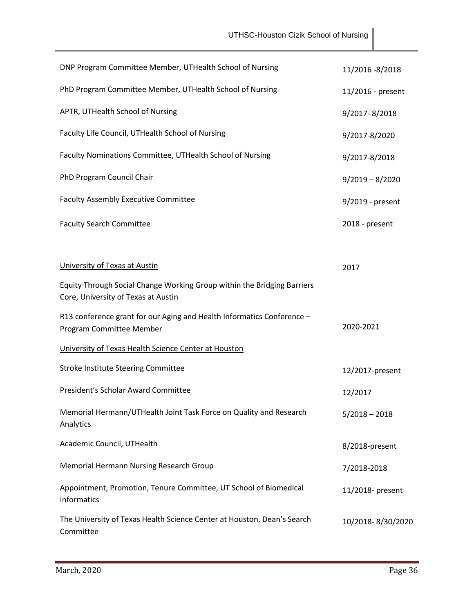| DNP Program Committee Member, UTHealth School of Nursing                                                       | 11/2016 -8/2018   |
|----------------------------------------------------------------------------------------------------------------|-------------------|
| PhD Program Committee Member, UTHealth School of Nursing                                                       | 11/2016 - present |
| APTR, UTHealth School of Nursing                                                                               | 9/2017-8/2018     |
| Faculty Life Council, UTHealth School of Nursing                                                               | 9/2017-8/2020     |
| Faculty Nominations Committee, UTHealth School of Nursing                                                      | 9/2017-8/2018     |
| PhD Program Council Chair                                                                                      | $9/2019 - 8/2020$ |
| <b>Faculty Assembly Executive Committee</b>                                                                    | 9/2019 - present  |
| <b>Faculty Search Committee</b>                                                                                | 2018 - present    |
|                                                                                                                |                   |
| University of Texas at Austin                                                                                  | 2017              |
| Equity Through Social Change Working Group within the Bridging Barriers<br>Core, University of Texas at Austin |                   |
| R13 conference grant for our Aging and Health Informatics Conference -<br>Program Committee Member             | 2020-2021         |
| University of Texas Health Science Center at Houston                                                           |                   |
| <b>Stroke Institute Steering Committee</b>                                                                     | 12/2017-present   |
| President's Scholar Award Committee                                                                            | 12/2017           |
| Memorial Hermann/UTHealth Joint Task Force on Quality and Research<br>Analytics                                | $5/2018 - 2018$   |
| Academic Council, UTHealth                                                                                     | 8/2018-present    |
| Memorial Hermann Nursing Research Group                                                                        | 7/2018-2018       |
| Appointment, Promotion, Tenure Committee, UT School of Biomedical<br>Informatics                               | 11/2018- present  |
| The University of Texas Health Science Center at Houston, Dean's Search<br>Committee                           | 10/2018-8/30/2020 |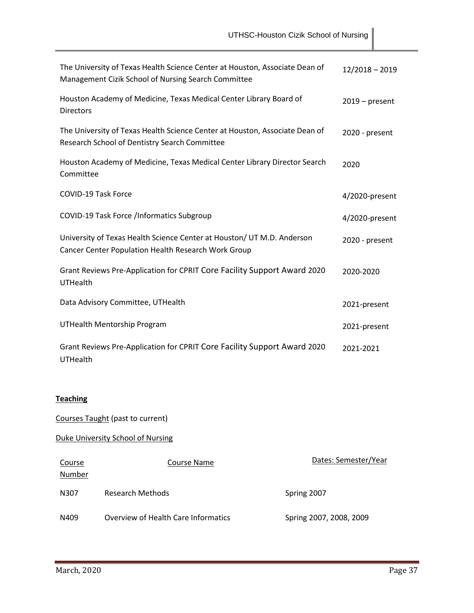| The University of Texas Health Science Center at Houston, Associate Dean of<br>Management Cizik School of Nursing Search Committee | $12/2018 - 2019$ |
|------------------------------------------------------------------------------------------------------------------------------------|------------------|
| Houston Academy of Medicine, Texas Medical Center Library Board of<br><b>Directors</b>                                             | $2019$ – present |
| The University of Texas Health Science Center at Houston, Associate Dean of<br>Research School of Dentistry Search Committee       | 2020 - present   |
| Houston Academy of Medicine, Texas Medical Center Library Director Search<br>Committee                                             | 2020             |
| <b>COVID-19 Task Force</b>                                                                                                         | 4/2020-present   |
| COVID-19 Task Force /Informatics Subgroup                                                                                          | 4/2020-present   |
| University of Texas Health Science Center at Houston/ UT M.D. Anderson<br>Cancer Center Population Health Research Work Group      | 2020 - present   |
| Grant Reviews Pre-Application for CPRIT Core Facility Support Award 2020<br><b>UTHealth</b>                                        | 2020-2020        |
| Data Advisory Committee, UTHealth                                                                                                  | 2021-present     |
| <b>UTHealth Mentorship Program</b>                                                                                                 | 2021-present     |
| Grant Reviews Pre-Application for CPRIT Core Facility Support Award 2020<br>UTHealth                                               | 2021-2021        |

## **Teaching**

Courses Taught (past to current)

Duke University School of Nursing

| Course<br>Number | Course Name                         | Dates: Semester/Year    |
|------------------|-------------------------------------|-------------------------|
| N307             | Research Methods                    | Spring 2007             |
| N409             | Overview of Health Care Informatics | Spring 2007, 2008, 2009 |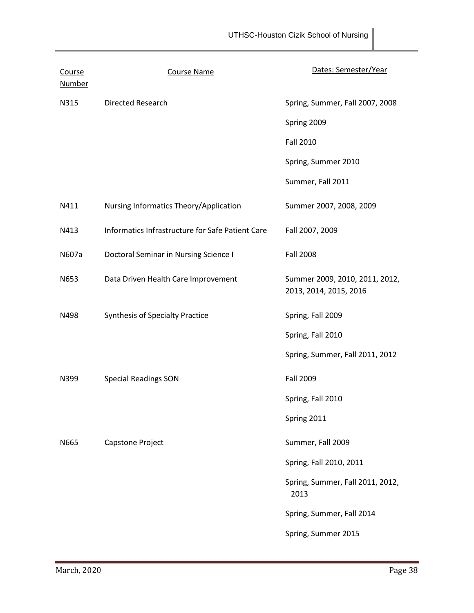| Course<br><b>Number</b> | <b>Course Name</b>                               | Dates: Semester/Year                                     |
|-------------------------|--------------------------------------------------|----------------------------------------------------------|
| N315                    | Directed Research                                | Spring, Summer, Fall 2007, 2008                          |
|                         |                                                  | Spring 2009                                              |
|                         |                                                  | <b>Fall 2010</b>                                         |
|                         |                                                  | Spring, Summer 2010                                      |
|                         |                                                  | Summer, Fall 2011                                        |
| N411                    | Nursing Informatics Theory/Application           | Summer 2007, 2008, 2009                                  |
| N413                    | Informatics Infrastructure for Safe Patient Care | Fall 2007, 2009                                          |
| N607a                   | Doctoral Seminar in Nursing Science I            | <b>Fall 2008</b>                                         |
| N653                    | Data Driven Health Care Improvement              | Summer 2009, 2010, 2011, 2012,<br>2013, 2014, 2015, 2016 |
| N498                    | <b>Synthesis of Specialty Practice</b>           | Spring, Fall 2009                                        |
|                         |                                                  | Spring, Fall 2010                                        |
|                         |                                                  | Spring, Summer, Fall 2011, 2012                          |
| N399                    | <b>Special Readings SON</b>                      | <b>Fall 2009</b>                                         |
|                         |                                                  | Spring, Fall 2010                                        |
|                         |                                                  | Spring 2011                                              |
| N665                    | Capstone Project                                 | Summer, Fall 2009                                        |
|                         |                                                  | Spring, Fall 2010, 2011                                  |
|                         |                                                  | Spring, Summer, Fall 2011, 2012,<br>2013                 |
|                         |                                                  | Spring, Summer, Fall 2014                                |
|                         |                                                  | Spring, Summer 2015                                      |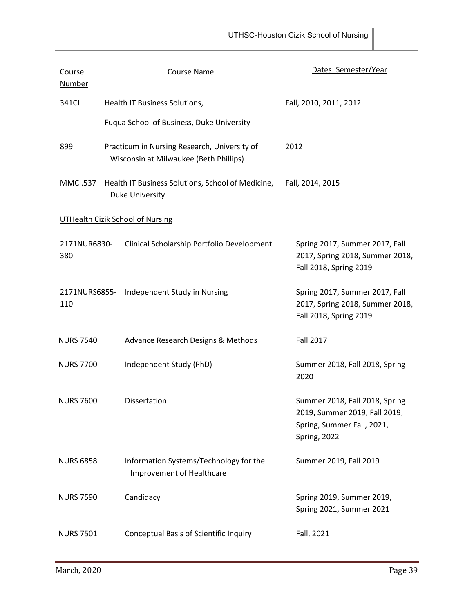| Course<br><b>Number</b> |                                                                      | <b>Course Name</b>                                                                     | Dates: Semester/Year                                                                                          |  |
|-------------------------|----------------------------------------------------------------------|----------------------------------------------------------------------------------------|---------------------------------------------------------------------------------------------------------------|--|
| 341CI                   |                                                                      | Health IT Business Solutions,                                                          | Fall, 2010, 2011, 2012                                                                                        |  |
|                         |                                                                      | Fuqua School of Business, Duke University                                              |                                                                                                               |  |
| 899                     |                                                                      | Practicum in Nursing Research, University of<br>Wisconsin at Milwaukee (Beth Phillips) | 2012                                                                                                          |  |
| <b>MMCI.537</b>         | Health IT Business Solutions, School of Medicine,<br>Duke University |                                                                                        | Fall, 2014, 2015                                                                                              |  |
|                         |                                                                      | <b>UTHealth Cizik School of Nursing</b>                                                |                                                                                                               |  |
| 2171NUR6830-<br>380     |                                                                      | Clinical Scholarship Portfolio Development                                             | Spring 2017, Summer 2017, Fall<br>2017, Spring 2018, Summer 2018,<br>Fall 2018, Spring 2019                   |  |
| 110                     |                                                                      | 2171NURS6855- Independent Study in Nursing                                             | Spring 2017, Summer 2017, Fall<br>2017, Spring 2018, Summer 2018,<br>Fall 2018, Spring 2019                   |  |
| <b>NURS 7540</b>        |                                                                      | Advance Research Designs & Methods                                                     | <b>Fall 2017</b>                                                                                              |  |
| <b>NURS 7700</b>        |                                                                      | Independent Study (PhD)                                                                | Summer 2018, Fall 2018, Spring<br>2020                                                                        |  |
| <b>NURS 7600</b>        |                                                                      | Dissertation                                                                           | Summer 2018, Fall 2018, Spring<br>2019, Summer 2019, Fall 2019,<br>Spring, Summer Fall, 2021,<br>Spring, 2022 |  |
| <b>NURS 6858</b>        |                                                                      | Information Systems/Technology for the<br><b>Improvement of Healthcare</b>             | Summer 2019, Fall 2019                                                                                        |  |
| <b>NURS 7590</b>        |                                                                      | Candidacy                                                                              | Spring 2019, Summer 2019,<br>Spring 2021, Summer 2021                                                         |  |
| <b>NURS 7501</b>        |                                                                      | Conceptual Basis of Scientific Inquiry                                                 | Fall, 2021                                                                                                    |  |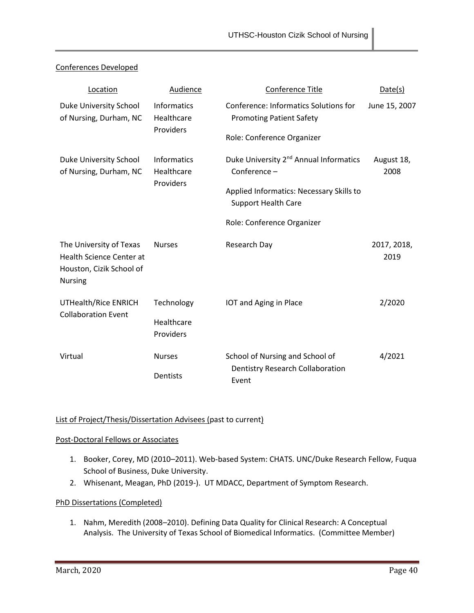| Location                                                                                                 | Audience                                      | Conference Title                                                                | Date(s)             |
|----------------------------------------------------------------------------------------------------------|-----------------------------------------------|---------------------------------------------------------------------------------|---------------------|
| Duke University School<br>of Nursing, Durham, NC                                                         | <b>Informatics</b><br>Healthcare<br>Providers | <b>Conference: Informatics Solutions for</b><br><b>Promoting Patient Safety</b> | June 15, 2007       |
|                                                                                                          |                                               | Role: Conference Organizer                                                      |                     |
| Duke University School<br>of Nursing, Durham, NC                                                         | <b>Informatics</b><br>Healthcare<br>Providers | Duke University 2 <sup>nd</sup> Annual Informatics<br>Conference-               | August 18,<br>2008  |
|                                                                                                          |                                               | Applied Informatics: Necessary Skills to<br><b>Support Health Care</b>          |                     |
|                                                                                                          |                                               | Role: Conference Organizer                                                      |                     |
| The University of Texas<br><b>Health Science Center at</b><br>Houston, Cizik School of<br><b>Nursing</b> | <b>Nurses</b>                                 | Research Day                                                                    | 2017, 2018,<br>2019 |
| UTHealth/Rice ENRICH<br><b>Collaboration Event</b>                                                       | Technology                                    | IOT and Aging in Place                                                          | 2/2020              |
|                                                                                                          | Healthcare<br>Providers                       |                                                                                 |                     |
| Virtual                                                                                                  | <b>Nurses</b>                                 | School of Nursing and School of                                                 | 4/2021              |
|                                                                                                          | Dentists                                      | <b>Dentistry Research Collaboration</b><br>Event                                |                     |

## Conferences Developed

## List of Project/Thesis/Dissertation Advisees (past to current)

## Post-Doctoral Fellows or Associates

- 1. Booker, Corey, MD (2010–2011). Web-based System: CHATS. UNC/Duke Research Fellow, Fuqua School of Business, Duke University.
- 2. Whisenant, Meagan, PhD (2019-). UT MDACC, Department of Symptom Research.

## PhD Dissertations (Completed)

1. Nahm, Meredith (2008–2010). Defining Data Quality for Clinical Research: A Conceptual Analysis. The University of Texas School of Biomedical Informatics. (Committee Member)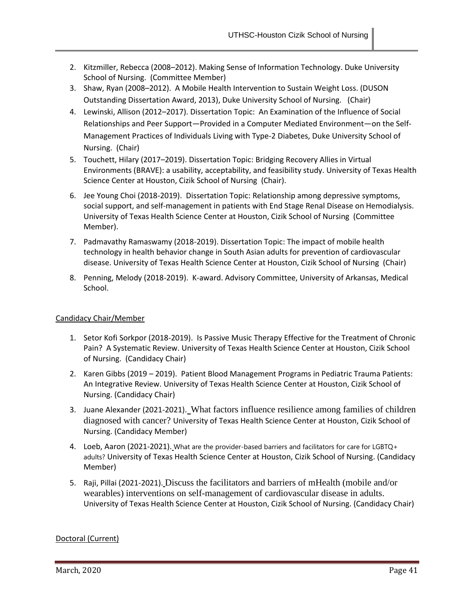- 2. Kitzmiller, Rebecca (2008–2012). Making Sense of Information Technology. Duke University School of Nursing. (Committee Member)
- 3. Shaw, Ryan (2008–2012). A Mobile Health Intervention to Sustain Weight Loss. (DUSON Outstanding Dissertation Award, 2013), Duke University School of Nursing. (Chair)
- 4. Lewinski, Allison (2012–2017). Dissertation Topic: An Examination of the Influence of Social Relationships and Peer Support—Provided in a Computer Mediated Environment—on the Self-Management Practices of Individuals Living with Type-2 Diabetes, Duke University School of Nursing. (Chair)
- 5. Touchett, Hilary (2017–2019). Dissertation Topic: Bridging Recovery Allies in Virtual Environments (BRAVE): a usability, acceptability, and feasibility study. University of Texas Health Science Center at Houston, Cizik School of Nursing (Chair).
- 6. Jee Young Choi (2018-2019). Dissertation Topic: Relationship among depressive symptoms, social support, and self-management in patients with End Stage Renal Disease on Hemodialysis. University of Texas Health Science Center at Houston, Cizik School of Nursing (Committee Member).
- 7. Padmavathy Ramaswamy (2018-2019). Dissertation Topic: The impact of mobile health technology in health behavior change in South Asian adults for prevention of cardiovascular disease. University of Texas Health Science Center at Houston, Cizik School of Nursing (Chair)
- 8. Penning, Melody (2018-2019). K-award. Advisory Committee, University of Arkansas, Medical School.

## Candidacy Chair/Member

- 1. Setor Kofi Sorkpor (2018-2019). Is Passive Music Therapy Effective for the Treatment of Chronic Pain? A Systematic Review. University of Texas Health Science Center at Houston, Cizik School of Nursing. (Candidacy Chair)
- 2. Karen Gibbs (2019 2019). Patient Blood Management Programs in Pediatric Trauma Patients: An Integrative Review. University of Texas Health Science Center at Houston, Cizik School of Nursing. (Candidacy Chair)
- 3. Juane Alexander (2021-2021). What factors influence resilience among families of children diagnosed with cancer? University of Texas Health Science Center at Houston, Cizik School of Nursing. (Candidacy Member)
- 4. Loeb, Aaron (2021-2021). What are the provider-based barriers and facilitators for care for LGBTQ+ adults? University of Texas Health Science Center at Houston, Cizik School of Nursing. (Candidacy Member)
- 5. Raji, Pillai (2021-2021). Discuss the facilitators and barriers of mHealth (mobile and/or wearables) interventions on self-management of cardiovascular disease in adults. University of Texas Health Science Center at Houston, Cizik School of Nursing. (Candidacy Chair)

## Doctoral (Current)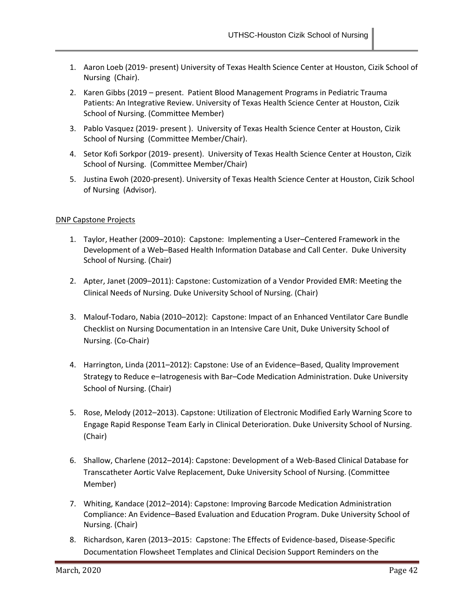- 1. Aaron Loeb (2019- present) University of Texas Health Science Center at Houston, Cizik School of Nursing (Chair).
- 2. Karen Gibbs (2019 present. Patient Blood Management Programs in Pediatric Trauma Patients: An Integrative Review. University of Texas Health Science Center at Houston, Cizik School of Nursing. (Committee Member)
- 3. Pablo Vasquez (2019- present ). University of Texas Health Science Center at Houston, Cizik School of Nursing (Committee Member/Chair).
- 4. Setor Kofi Sorkpor (2019- present). University of Texas Health Science Center at Houston, Cizik School of Nursing. (Committee Member/Chair)
- 5. Justina Ewoh (2020-present). University of Texas Health Science Center at Houston, Cizik School of Nursing (Advisor).

## DNP Capstone Projects

- 1. Taylor, Heather (2009–2010): Capstone: Implementing a User–Centered Framework in the Development of a Web–Based Health Information Database and Call Center. Duke University School of Nursing. (Chair)
- 2. Apter, Janet (2009–2011): Capstone: Customization of a Vendor Provided EMR: Meeting the Clinical Needs of Nursing. Duke University School of Nursing. (Chair)
- 3. Malouf-Todaro, Nabia (2010–2012): Capstone: Impact of an Enhanced Ventilator Care Bundle Checklist on Nursing Documentation in an Intensive Care Unit, Duke University School of Nursing. (Co-Chair)
- 4. Harrington, Linda (2011–2012): Capstone: Use of an Evidence–Based, Quality Improvement Strategy to Reduce e–Iatrogenesis with Bar–Code Medication Administration. Duke University School of Nursing. (Chair)
- 5. Rose, Melody (2012–2013). Capstone: Utilization of Electronic Modified Early Warning Score to Engage Rapid Response Team Early in Clinical Deterioration. Duke University School of Nursing. (Chair)
- 6. Shallow, Charlene (2012–2014): Capstone: Development of a Web-Based Clinical Database for Transcatheter Aortic Valve Replacement, Duke University School of Nursing. (Committee Member)
- 7. Whiting, Kandace (2012–2014): Capstone: Improving Barcode Medication Administration Compliance: An Evidence–Based Evaluation and Education Program. Duke University School of Nursing. (Chair)
- 8. Richardson, Karen (2013–2015: Capstone: The Effects of Evidence-based, Disease-Specific Documentation Flowsheet Templates and Clinical Decision Support Reminders on the